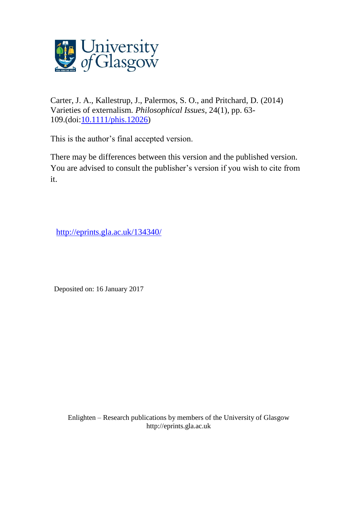

Carter, J. A., Kallestrup, J., Palermos, S. O., and Pritchard, D. (2014) Varieties of externalism. *Philosophical Issues*, 24(1), pp. 63- 109.(doi[:10.1111/phis.12026\)](http://dx.doi.org/10.1111/phis.12026)

This is the author's final accepted version.

There may be differences between this version and the published version. You are advised to consult the publisher's version if you wish to cite from it.

[http://eprints.gla.ac.uk/134340/](http://eprints.gla.ac.uk/134164/)

Deposited on: 16 January 2017

Enlighten – Research publications by members of the University of Glasgo[w](http://eprints.gla.ac.uk/) [http://eprints.gla.ac.uk](http://eprints.gla.ac.uk/)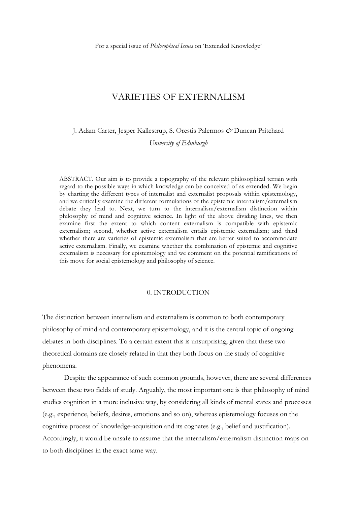# VARIETIES OF EXTERNALISM

J. Adam Carter, Jesper Kallestrup, S. Orestis Palermos *&* Duncan Pritchard *University of Edinburgh*

ABSTRACT. Our aim is to provide a topography of the relevant philosophical terrain with regard to the possible ways in which knowledge can be conceived of as extended. We begin by charting the different types of internalist and externalist proposals within epistemology, and we critically examine the different formulations of the epistemic internalism/externalism debate they lead to. Next, we turn to the internalism/externalism distinction within philosophy of mind and cognitive science. In light of the above dividing lines, we then examine first the extent to which content externalism is compatible with epistemic externalism; second, whether active externalism entails epistemic externalism; and third whether there are varieties of epistemic externalism that are better suited to accommodate active externalism. Finally, we examine whether the combination of epistemic and cognitive externalism is necessary for epistemology and we comment on the potential ramifications of this move for social epistemology and philosophy of science.

# 0. INTRODUCTION

The distinction between internalism and externalism is common to both contemporary philosophy of mind and contemporary epistemology, and it is the central topic of ongoing debates in both disciplines. To a certain extent this is unsurprising, given that these two theoretical domains are closely related in that they both focus on the study of cognitive phenomena.

Despite the appearance of such common grounds, however, there are several differences between these two fields of study. Arguably, the most important one is that philosophy of mind studies cognition in a more inclusive way, by considering all kinds of mental states and processes (e.g., experience, beliefs, desires, emotions and so on), whereas epistemology focuses on the cognitive process of knowledge-acquisition and its cognates (e.g., belief and justification). Accordingly, it would be unsafe to assume that the internalism/externalism distinction maps on to both disciplines in the exact same way.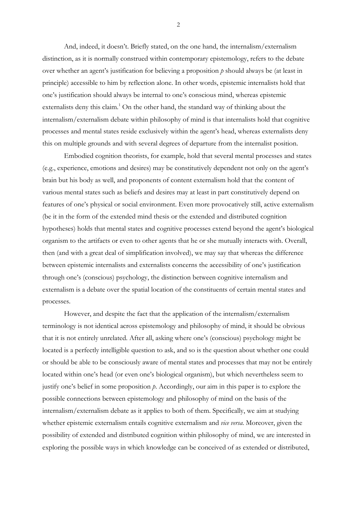And, indeed, it doesn't. Briefly stated, on the one hand, the internalism/externalism distinction, as it is normally construed within contemporary epistemology, refers to the debate over whether an agent's justification for believing a proposition *p* should always be (at least in principle) accessible to him by reflection alone. In other words, epistemic internalists hold that one's justification should always be internal to one's conscious mind, whereas epistemic externalists deny this claim. <sup>1</sup> On the other hand, the standard way of thinking about the internalism/externalism debate within philosophy of mind is that internalists hold that cognitive processes and mental states reside exclusively within the agent's head, whereas externalists deny this on multiple grounds and with several degrees of departure from the internalist position.

Embodied cognition theorists, for example, hold that several mental processes and states (e.g., experience, emotions and desires) may be constitutively dependent not only on the agent's brain but his body as well, and proponents of content externalism hold that the content of various mental states such as beliefs and desires may at least in part constitutively depend on features of one's physical or social environment. Even more provocatively still, active externalism (be it in the form of the extended mind thesis or the extended and distributed cognition hypotheses) holds that mental states and cognitive processes extend beyond the agent's biological organism to the artifacts or even to other agents that he or she mutually interacts with. Overall, then (and with a great deal of simplification involved), we may say that whereas the difference between epistemic internalists and externalists concerns the accessibility of one's justification through one's (conscious) psychology, the distinction between cognitive internalism and externalism is a debate over the spatial location of the constituents of certain mental states and processes.

However, and despite the fact that the application of the internalism/externalism terminology is not identical across epistemology and philosophy of mind, it should be obvious that it is not entirely unrelated. After all, asking where one's (conscious) psychology might be located is a perfectly intelligible question to ask, and so is the question about whether one could or should be able to be consciously aware of mental states and processes that may not be entirely located within one's head (or even one's biological organism), but which nevertheless seem to justify one's belief in some proposition *p*. Accordingly, our aim in this paper is to explore the possible connections between epistemology and philosophy of mind on the basis of the internalism/externalism debate as it applies to both of them. Specifically, we aim at studying whether epistemic externalism entails cognitive externalism and *vice versa*. Moreover, given the possibility of extended and distributed cognition within philosophy of mind, we are interested in exploring the possible ways in which knowledge can be conceived of as extended or distributed,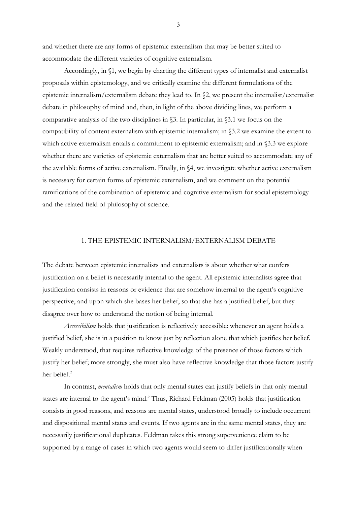and whether there are any forms of epistemic externalism that may be better suited to accommodate the different varieties of cognitive externalism.

Accordingly, in §1, we begin by charting the different types of internalist and externalist proposals within epistemology, and we critically examine the different formulations of the epistemic internalism/externalism debate they lead to. In §2, we present the internalist/externalist debate in philosophy of mind and, then, in light of the above dividing lines, we perform a comparative analysis of the two disciplines in §3. In particular, in §3.1 we focus on the compatibility of content externalism with epistemic internalism; in §3.2 we examine the extent to which active externalism entails a commitment to epistemic externalism; and in §3.3 we explore whether there are varieties of epistemic externalism that are better suited to accommodate any of the available forms of active externalism. Finally, in §4, we investigate whether active externalism is necessary for certain forms of epistemic externalism, and we comment on the potential ramifications of the combination of epistemic and cognitive externalism for social epistemology and the related field of philosophy of science.

#### 1. THE EPISTEMIC INTERNALISM/EXTERNALISM DEBATE

The debate between epistemic internalists and externalists is about whether what confers justification on a belief is necessarily internal to the agent. All epistemic internalists agree that justification consists in reasons or evidence that are somehow internal to the agent's cognitive perspective, and upon which she bases her belief, so that she has a justified belief, but they disagree over how to understand the notion of being internal.

*Accessibilism* holds that justification is reflectively accessible: whenever an agent holds a justified belief, she is in a position to know just by reflection alone that which justifies her belief. Weakly understood, that requires reflective knowledge of the presence of those factors which justify her belief; more strongly, she must also have reflective knowledge that those factors justify her belief. 2

In contrast, *mentalism* holds that only mental states can justify beliefs in that only mental states are internal to the agent's mind.<sup>3</sup> Thus, Richard Feldman (2005) holds that justification consists in good reasons, and reasons are mental states, understood broadly to include occurrent and dispositional mental states and events. If two agents are in the same mental states, they are necessarily justificational duplicates. Feldman takes this strong supervenience claim to be supported by a range of cases in which two agents would seem to differ justificationally when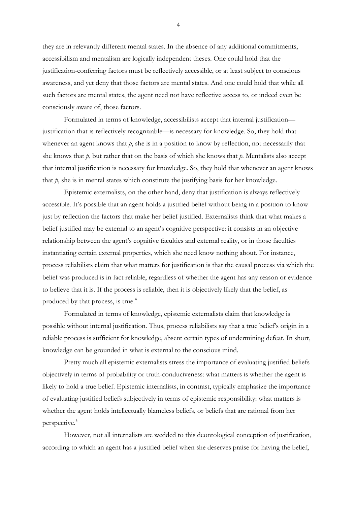they are in relevantly different mental states. In the absence of any additional commitments, accessibilism and mentalism are logically independent theses. One could hold that the justification-conferring factors must be reflectively accessible, or at least subject to conscious awareness, and yet deny that those factors are mental states. And one could hold that while all such factors are mental states, the agent need not have reflective access to, or indeed even be consciously aware of, those factors.

Formulated in terms of knowledge, accessibilists accept that internal justification justification that is reflectively recognizable—is necessary for knowledge. So, they hold that whenever an agent knows that *p*, she is in a position to know by reflection, not necessarily that she knows that *p*, but rather that on the basis of which she knows that *p*. Mentalists also accept that internal justification is necessary for knowledge. So, they hold that whenever an agent knows that *p*, she is in mental states which constitute the justifying basis for her knowledge.

Epistemic externalists, on the other hand, deny that justification is always reflectively accessible. It's possible that an agent holds a justified belief without being in a position to know just by reflection the factors that make her belief justified. Externalists think that what makes a belief justified may be external to an agent's cognitive perspective: it consists in an objective relationship between the agent's cognitive faculties and external reality, or in those faculties instantiating certain external properties, which she need know nothing about. For instance, process reliabilists claim that what matters for justification is that the causal process via which the belief was produced is in fact reliable, regardless of whether the agent has any reason or evidence to believe that it is. If the process is reliable, then it is objectively likely that the belief, as produced by that process, is true.<sup>4</sup>

Formulated in terms of knowledge, epistemic externalists claim that knowledge is possible without internal justification. Thus, process reliabilists say that a true belief's origin in a reliable process is sufficient for knowledge, absent certain types of undermining defeat. In short, knowledge can be grounded in what is external to the conscious mind.

Pretty much all epistemic externalists stress the importance of evaluating justified beliefs objectively in terms of probability or truth-conduciveness: what matters is whether the agent is likely to hold a true belief. Epistemic internalists, in contrast, typically emphasize the importance of evaluating justified beliefs subjectively in terms of epistemic responsibility: what matters is whether the agent holds intellectually blameless beliefs, or beliefs that are rational from her perspective. 5

However, not all internalists are wedded to this deontological conception of justification, according to which an agent has a justified belief when she deserves praise for having the belief,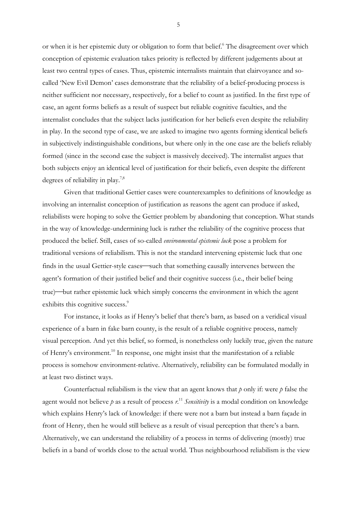or when it is her epistemic duty or obligation to form that belief.<sup>6</sup> The disagreement over which conception of epistemic evaluation takes priority is reflected by different judgements about at least two central types of cases. Thus, epistemic internalists maintain that clairvoyance and socalled 'New Evil Demon' cases demonstrate that the reliability of a belief-producing process is neither sufficient nor necessary, respectively, for a belief to count as justified. In the first type of case, an agent forms beliefs as a result of suspect but reliable cognitive faculties, and the internalist concludes that the subject lacks justification for her beliefs even despite the reliability in play. In the second type of case, we are asked to imagine two agents forming identical beliefs in subjectively indistinguishable conditions, but where only in the one case are the beliefs reliably formed (since in the second case the subject is massively deceived). The internalist argues that both subjects enjoy an identical level of justification for their beliefs, even despite the different degrees of reliability in play.<sup>7,8</sup>

Given that traditional Gettier cases were counterexamples to definitions of knowledge as involving an internalist conception of justification as reasons the agent can produce if asked, reliabilists were hoping to solve the Gettier problem by abandoning that conception. What stands in the way of knowledge-undermining luck is rather the reliability of the cognitive process that produced the belief. Still, cases of so-called *environmental epistemic luck* pose a problem for traditional versions of reliabilism. This is not the standard intervening epistemic luck that one finds in the usual Gettier-style cases—such that something causally intervenes between the agent's formation of their justified belief and their cognitive success (i.e., their belief being true)—but rather epistemic luck which simply concerns the environment in which the agent exhibits this cognitive success.<sup>9</sup>

For instance, it looks as if Henry's belief that there's barn, as based on a veridical visual experience of a barn in fake barn county, is the result of a reliable cognitive process, namely visual perception. And yet this belief, so formed, is nonetheless only luckily true, given the nature of Henry's environment.<sup>10</sup> In response, one might insist that the manifestation of a reliable process is somehow environment-relative. Alternatively, reliability can be formulated modally in at least two distinct ways.

Counterfactual reliabilism is the view that an agent knows that *p* only if: were *p* false the agent would not believe *p* as a result of process *r*. <sup>11</sup> *Sensitivity* is a modal condition on knowledge which explains Henry's lack of knowledge: if there were not a barn but instead a barn façade in front of Henry, then he would still believe as a result of visual perception that there's a barn. Alternatively, we can understand the reliability of a process in terms of delivering (mostly) true beliefs in a band of worlds close to the actual world. Thus neighbourhood reliabilism is the view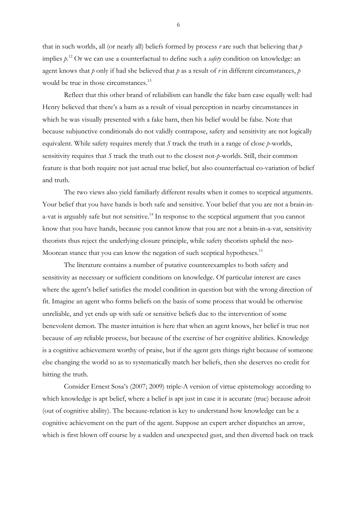that in such worlds, all (or nearly all) beliefs formed by process *r* are such that believing that *p* implies *p*. <sup>12</sup> Or we can use a counterfactual to define such a *safety* condition on knowledge: an agent knows that *p* only if had she believed that *p* as a result of *r* in different circumstances, *p* would be true in those circumstances.<sup>13</sup>

Reflect that this other brand of reliabilism can handle the fake barn case equally well: had Henry believed that there's a barn as a result of visual perception in nearby circumstances in which he was visually presented with a fake barn, then his belief would be false. Note that because subjunctive conditionals do not validly contrapose, safety and sensitivity are not logically equivalent. While safety requires merely that *S* track the truth in a range of close *p*-worlds, sensitivity requires that *S* track the truth out to the closest not-*p*-worlds. Still, their common feature is that both require not just actual true belief, but also counterfactual co-variation of belief and truth.

The two views also yield familiarly different results when it comes to sceptical arguments. Your belief that you have hands is both safe and sensitive. Your belief that you are not a brain-ina-vat is arguably safe but not sensitive.<sup>14</sup> In response to the sceptical argument that you cannot know that you have hands, because you cannot know that you are not a brain-in-a-vat, sensitivity theorists thus reject the underlying closure principle, while safety theorists upheld the neo-Moorean stance that you can know the negation of such sceptical hypotheses.<sup>15</sup>

The literature contains a number of putative counterexamples to both safety and sensitivity as necessary or sufficient conditions on knowledge. Of particular interest are cases where the agent's belief satisfies the model condition in question but with the wrong direction of fit. Imagine an agent who forms beliefs on the basis of some process that would be otherwise unreliable, and yet ends up with safe or sensitive beliefs due to the intervention of some benevolent demon. The master intuition is here that when an agent knows, her belief is true not because of *any* reliable process, but because of the exercise of her cognitive abilities. Knowledge is a cognitive achievement worthy of praise, but if the agent gets things right because of someone else changing the world so as to systematically match her beliefs, then she deserves no credit for hitting the truth.

Consider Ernest Sosa's (2007; 2009) triple-A version of virtue epistemology according to which knowledge is apt belief, where a belief is apt just in case it is accurate (true) because adroit (out of cognitive ability). The because-relation is key to understand how knowledge can be a cognitive achievement on the part of the agent. Suppose an expert archer dispatches an arrow, which is first blown off course by a sudden and unexpected gust, and then diverted back on track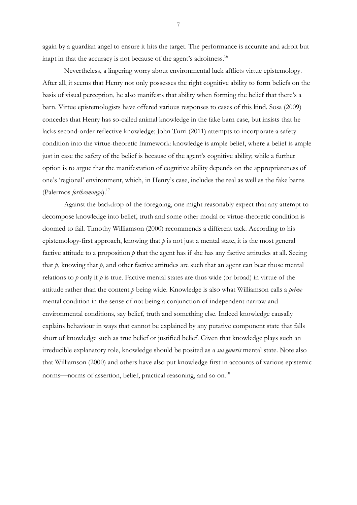again by a guardian angel to ensure it hits the target. The performance is accurate and adroit but inapt in that the accuracy is not because of the agent's adroitness.<sup>16</sup>

Nevertheless, a lingering worry about environmental luck afflicts virtue epistemology. After all, it seems that Henry not only possesses the right cognitive ability to form beliefs on the basis of visual perception, he also manifests that ability when forming the belief that there's a barn. Virtue epistemologists have offered various responses to cases of this kind. Sosa (2009) concedes that Henry has so-called animal knowledge in the fake barn case, but insists that he lacks second-order reflective knowledge; John Turri (2011) attempts to incorporate a safety condition into the virtue-theoretic framework: knowledge is ample belief, where a belief is ample just in case the safety of the belief is because of the agent's cognitive ability; while a further option is to argue that the manifestation of cognitive ability depends on the appropriateness of one's 'regional' environment, which, in Henry's case, includes the real as well as the fake barns (Palermos *forthcominga*). 17

Against the backdrop of the foregoing, one might reasonably expect that any attempt to decompose knowledge into belief, truth and some other modal or virtue-theoretic condition is doomed to fail. Timothy Williamson (2000) recommends a different tack. According to his epistemology-first approach, knowing that *p* is not just a mental state, it is the most general factive attitude to a proposition *p* that the agent has if she has any factive attitudes at all. Seeing that *p*, knowing that *p*, and other factive attitudes are such that an agent can bear those mental relations to *p* only if *p* is true. Factive mental states are thus wide (or broad) in virtue of the attitude rather than the content *p* being wide. Knowledge is also what Williamson calls a *prime* mental condition in the sense of not being a conjunction of independent narrow and environmental conditions, say belief, truth and something else. Indeed knowledge causally explains behaviour in ways that cannot be explained by any putative component state that falls short of knowledge such as true belief or justified belief. Given that knowledge plays such an irreducible explanatory role, knowledge should be posited as a *sui generis* mental state. Note also that Williamson (2000) and others have also put knowledge first in accounts of various epistemic norms—norms of assertion, belief, practical reasoning, and so on.<sup>18</sup>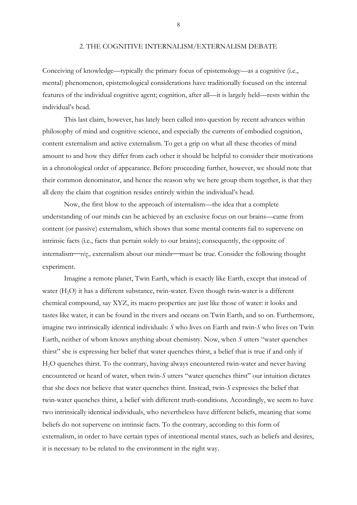# 2. THE COGNITIVE INTERNALISM/EXTERNALISM DEBATE

Conceiving of knowledge—typically the primary focus of epistemology—as a cognitive (i.e., mental) phenomenon, epistemological considerations have traditionally focused on the internal features of the individual cognitive agent; cognition, after all—it is largely held—rests within the individual's head.

This last claim, however, has lately been called into question by recent advances within philosophy of mind and cognitive science, and especially the currents of embodied cognition, content externalism and active externalism. To get a grip on what all these theories of mind amount to and how they differ from each other it should be helpful to consider their motivations in a chronological order of appearance. Before proceeding further, however, we should note that their common denominator, and hence the reason why we here group them together, is that they all deny the claim that cognition resides entirely within the individual's head.

Now, the first blow to the approach of internalism—the idea that a complete understanding of our minds can be achieved by an exclusive focus on our brains—came from content (or passive) externalism, which shows that some mental contents fail to supervene on intrinsic facts (i.e., facts that pertain solely to our brains); consequently, the opposite of internalism—*viz*., externalism about our minds—must be true. Consider the following thought experiment.

Imagine a remote planet, Twin Earth, which is exactly like Earth, except that instead of water (H<sub>2</sub>O) it has a different substance, twin-water. Even though twin-water is a different chemical compound, say XYZ, its macro properties are just like those of water: it looks and tastes like water, it can be found in the rivers and oceans on Twin Earth, and so on. Furthermore, imagine two intrinsically identical individuals: *S* who lives on Earth and twin-*S* who lives on Twin Earth, neither of whom knows anything about chemistry. Now, when *S* utters "water quenches thirst" she is expressing her belief that water quenches thirst, a belief that is true if and only if H2O quenches thirst. To the contrary, having always encountered twin-water and never having encountered or heard of water, when twin-*S* utters "water quenches thirst" our intuition dictates that she does not believe that water quenches thirst. Instead, twin-*S* expresses the belief that twin-water quenches thirst, a belief with different truth-conditions. Accordingly, we seem to have two intrinsically identical individuals, who nevertheless have different beliefs, meaning that some beliefs do not supervene on intrinsic facts. To the contrary, according to this form of externalism, in order to have certain types of intentional mental states, such as beliefs and desires, it is necessary to be related to the environment in the right way.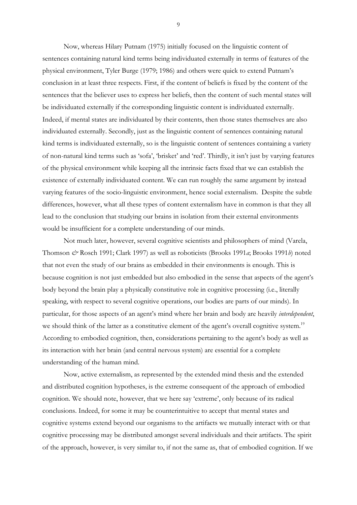Now, whereas Hilary Putnam (1975) initially focused on the linguistic content of sentences containing natural kind terms being individuated externally in terms of features of the physical environment, Tyler Burge (1979; 1986) and others were quick to extend Putnam's conclusion in at least three respects. First, if the content of beliefs is fixed by the content of the sentences that the believer uses to express her beliefs, then the content of such mental states will be individuated externally if the corresponding linguistic content is individuated externally. Indeed, if mental states are individuated by their contents, then those states themselves are also individuated externally. Secondly, just as the linguistic content of sentences containing natural kind terms is individuated externally, so is the linguistic content of sentences containing a variety of non-natural kind terms such as 'sofa', 'brisket' and 'red'. Thirdly, it isn't just by varying features of the physical environment while keeping all the intrinsic facts fixed that we can establish the existence of externally individuated content. We can run roughly the same argument by instead varying features of the socio-linguistic environment, hence social externalism. Despite the subtle differences, however, what all these types of content externalism have in common is that they all lead to the conclusion that studying our brains in isolation from their external environments would be insufficient for a complete understanding of our minds.

Not much later, however, several cognitive scientists and philosophers of mind (Varela, Thomson *&* Rosch 1991; Clark 1997) as well as roboticists (Brooks 1991*a*; Brooks 1991*b*) noted that not even the study of our brains as embedded in their environments is enough. This is because cognition is not just embedded but also embodied in the sense that aspects of the agent's body beyond the brain play a physically constitutive role in cognitive processing (i.e., literally speaking, with respect to several cognitive operations, our bodies are parts of our minds). In particular, for those aspects of an agent's mind where her brain and body are heavily *interdependent*, we should think of the latter as a constitutive element of the agent's overall cognitive system.<sup>19</sup> According to embodied cognition, then, considerations pertaining to the agent's body as well as its interaction with her brain (and central nervous system) are essential for a complete understanding of the human mind.

Now, active externalism, as represented by the extended mind thesis and the extended and distributed cognition hypotheses, is the extreme consequent of the approach of embodied cognition. We should note, however, that we here say 'extreme', only because of its radical conclusions. Indeed, for some it may be counterintuitive to accept that mental states and cognitive systems extend beyond our organisms to the artifacts we mutually interact with or that cognitive processing may be distributed amongst several individuals and their artifacts. The spirit of the approach, however, is very similar to, if not the same as, that of embodied cognition. If we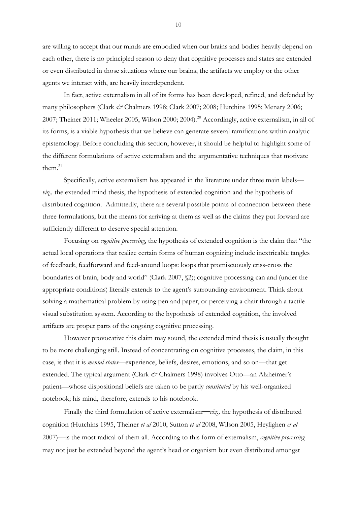are willing to accept that our minds are embodied when our brains and bodies heavily depend on each other, there is no principled reason to deny that cognitive processes and states are extended or even distributed in those situations where our brains, the artifacts we employ or the other agents we interact with, are heavily interdependent.

In fact, active externalism in all of its forms has been developed, refined, and defended by many philosophers (Clark & Chalmers 1998; Clark 2007; 2008; Hutchins 1995; Menary 2006; 2007; Theiner 2011; Wheeler 2005, Wilson 2000; 2004).<sup>20</sup> Accordingly, active externalism, in all of its forms, is a viable hypothesis that we believe can generate several ramifications within analytic epistemology. Before concluding this section, however, it should be helpful to highlight some of the different formulations of active externalism and the argumentative techniques that motivate them. $21$ 

Specifically, active externalism has appeared in the literature under three main labels *viz.,* the extended mind thesis, the hypothesis of extended cognition and the hypothesis of distributed cognition. Admittedly, there are several possible points of connection between these three formulations, but the means for arriving at them as well as the claims they put forward are sufficiently different to deserve special attention.

Focusing on *cognitive processing*, the hypothesis of extended cognition is the claim that "the actual local operations that realize certain forms of human cognizing include inextricable tangles of feedback, feedforward and feed-around loops: loops that promiscuously criss-cross the boundaries of brain, body and world" (Clark 2007, §2); cognitive processing can and (under the appropriate conditions) literally extends to the agent's surrounding environment. Think about solving a mathematical problem by using pen and paper, or perceiving a chair through a tactile visual substitution system. According to the hypothesis of extended cognition, the involved artifacts are proper parts of the ongoing cognitive processing.

However provocative this claim may sound, the extended mind thesis is usually thought to be more challenging still. Instead of concentrating on cognitive processes, the claim, in this case, is that it is *mental states—*experience, beliefs, desires, emotions, and so on—that get extended. The typical argument (Clark  $\mathcal{O}^{\times}$  Chalmers 1998) involves Otto—an Alzheimer's patient—whose dispositional beliefs are taken to be partly *constituted* by his well-organized notebook; his mind, therefore, extends to his notebook.

Finally the third formulation of active externalism—viz., the hypothesis of distributed cognition (Hutchins 1995, Theiner *et al* 2010, Sutton *et al* 2008, Wilson 2005, Heylighen *et al* 2007) is the most radical of them all. According to this form of externalism, *cognitive processing* may not just be extended beyond the agent's head or organism but even distributed amongst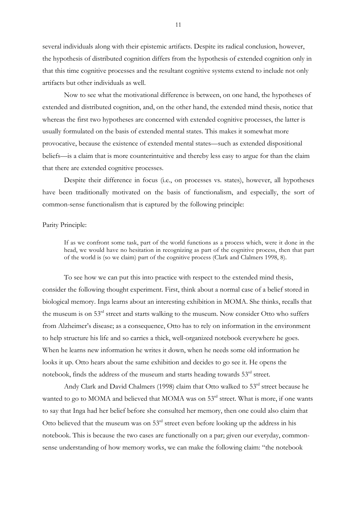several individuals along with their epistemic artifacts. Despite its radical conclusion, however, the hypothesis of distributed cognition differs from the hypothesis of extended cognition only in that this time cognitive processes and the resultant cognitive systems extend to include not only artifacts but other individuals as well.

Now to see what the motivational difference is between, on one hand, the hypotheses of extended and distributed cognition, and, on the other hand, the extended mind thesis, notice that whereas the first two hypotheses are concerned with extended cognitive processes, the latter is usually formulated on the basis of extended mental states. This makes it somewhat more provocative, because the existence of extended mental states—such as extended dispositional beliefs—is a claim that is more counterintuitive and thereby less easy to argue for than the claim that there are extended cognitive processes.

Despite their difference in focus (i.e., on processes vs. states), however, all hypotheses have been traditionally motivated on the basis of functionalism, and especially, the sort of common-sense functionalism that is captured by the following principle:

#### Parity Principle:

If as we confront some task, part of the world functions as a process which, were it done in the head, we would have no hesitation in recognizing as part of the cognitive process, then that part of the world is (so we claim) part of the cognitive process (Clark and Clalmers 1998, 8).

To see how we can put this into practice with respect to the extended mind thesis, consider the following thought experiment. First, think about a normal case of a belief stored in biological memory. Inga learns about an interesting exhibition in MOMA. She thinks, recalls that the museum is on 53rd street and starts walking to the museum. Now consider Otto who suffers from Alzheimer's disease; as a consequence, Otto has to rely on information in the environment to help structure his life and so carries a thick, well-organized notebook everywhere he goes. When he learns new information he writes it down, when he needs some old information he looks it up. Otto hears about the same exhibition and decides to go see it. He opens the notebook, finds the address of the museum and starts heading towards 53<sup>rd</sup> street.

Andy Clark and David Chalmers (1998) claim that Otto walked to 53<sup>rd</sup> street because he wanted to go to MOMA and believed that MOMA was on 53<sup>rd</sup> street. What is more, if one wants to say that Inga had her belief before she consulted her memory, then one could also claim that Otto believed that the museum was on  $53<sup>rd</sup>$  street even before looking up the address in his notebook. This is because the two cases are functionally on a par; given our everyday, commonsense understanding of how memory works, we can make the following claim: "the notebook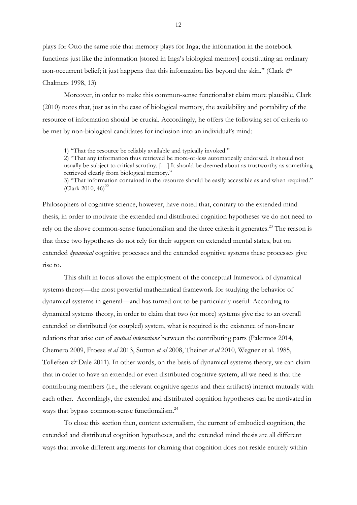plays for Otto the same role that memory plays for Inga; the information in the notebook functions just like the information [stored in Inga's biological memory] constituting an ordinary non-occurrent belief; it just happens that this information lies beyond the skin." (Clark *&* Chalmers 1998, 13)

Moreover, in order to make this common-sense functionalist claim more plausible, Clark (2010) notes that, just as in the case of biological memory, the availability and portability of the resource of information should be crucial. Accordingly, he offers the following set of criteria to be met by non-biological candidates for inclusion into an individual's mind:

1) "That the resource be reliably available and typically invoked."

2) "That any information thus retrieved be more-or-less automatically endorsed. It should not usually be subject to critical scrutiny. […] It should be deemed about as trustworthy as something retrieved clearly from biological memory."

3) "That information contained in the resource should be easily accessible as and when required."  $(C\text{lark } 2010, 46)^{22}$ 

Philosophers of cognitive science, however, have noted that, contrary to the extended mind thesis, in order to motivate the extended and distributed cognition hypotheses we do not need to rely on the above common-sense functionalism and the three criteria it generates.<sup>23</sup> The reason is that these two hypotheses do not rely for their support on extended mental states, but on extended *dynamical* cognitive processes and the extended cognitive systems these processes give rise to.

This shift in focus allows the employment of the conceptual framework of dynamical systems theory—the most powerful mathematical framework for studying the behavior of dynamical systems in general—and has turned out to be particularly useful: According to dynamical systems theory, in order to claim that two (or more) systems give rise to an overall extended or distributed (or coupled) system, what is required is the existence of non-linear relations that arise out of *mutual interactions* between the contributing parts (Palermos 2014, Chemero 2009, Froese *et al* 2013, Sutton *et al* 2008, Theiner *et al* 2010, Wegner et al. 1985, Tollefsen  $\mathcal O$  Dale 2011). In other words, on the basis of dynamical systems theory, we can claim that in order to have an extended or even distributed cognitive system, all we need is that the contributing members (i.e., the relevant cognitive agents and their artifacts) interact mutually with each other. Accordingly, the extended and distributed cognition hypotheses can be motivated in ways that bypass common-sense functionalism.<sup>24</sup>

To close this section then, content externalism, the current of embodied cognition, the extended and distributed cognition hypotheses, and the extended mind thesis are all different ways that invoke different arguments for claiming that cognition does not reside entirely within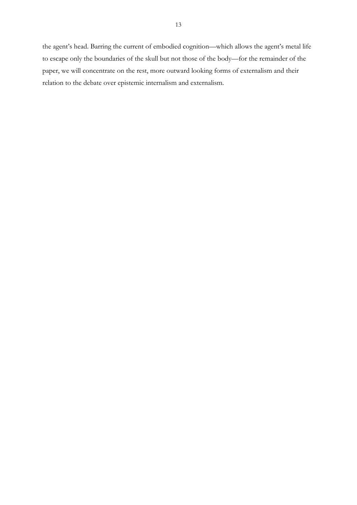the agent's head. Barring the current of embodied cognition—which allows the agent's metal life to escape only the boundaries of the skull but not those of the body—for the remainder of the paper, we will concentrate on the rest, more outward looking forms of externalism and their relation to the debate over epistemic internalism and externalism.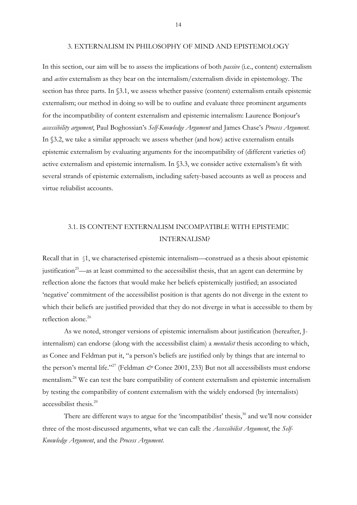#### 3. EXTERNALISM IN PHILOSOPHY OF MIND AND EPISTEMOLOGY

In this section, our aim will be to assess the implications of both *passive* (i.e., content) externalism and *active* externalism as they bear on the internalism/externalism divide in epistemology. The section has three parts. In §3.1, we assess whether passive (content) externalism entails epistemic externalism; our method in doing so will be to outline and evaluate three prominent arguments for the incompatibility of content externalism and epistemic internalism: Laurence Bonjour's *accessibility argument*, Paul Boghossian's *Self-Knowledge Argument* and James Chase's *Process Argument.* In §3.2, we take a similar approach: we assess whether (and how) active externalism entails epistemic externalism by evaluating arguments for the incompatibility of (different varieties of) active externalism and epistemic internalism. In §3.3, we consider active externalism's fit with several strands of epistemic externalism, including safety-based accounts as well as process and virtue reliabilist accounts.

# 3.1. IS CONTENT EXTERNALISM INCOMPATIBLE WITH EPISTEMIC INTERNALISM?

Recall that in §1, we characterised epistemic internalism—construed as a thesis about epistemic iustification<sup>25</sup>—as at least committed to the accessibilist thesis, that an agent can determine by reflection alone the factors that would make her beliefs epistemically justified; an associated 'negative' commitment of the accessibilist position is that agents do not diverge in the extent to which their beliefs are justified provided that they do not diverge in what is accessible to them by reflection alone. 26

As we noted, stronger versions of epistemic internalism about justification (hereafter, Jinternalism) can endorse (along with the accessibilist claim) a *mentalist* thesis according to which, as Conee and Feldman put it, "a person's beliefs are justified only by things that are internal to the person's mental life."<sup>27</sup> (Feldman  $\mathcal{Q}^{\circ}$  Conee 2001, 233) But not all accessibilists must endorse mentalism. <sup>28</sup> We can test the bare compatibility of content externalism and epistemic internalism by testing the compatibility of content externalism with the widely endorsed (by internalists) accessibilist thesis. 29

There are different ways to argue for the 'incompatibilist' thesis,<sup>30</sup> and we'll now consider three of the most-discussed arguments, what we can call: the *Accessibilist Argument*, the *Self-Knowledge Argument*, and the *Process Argument.*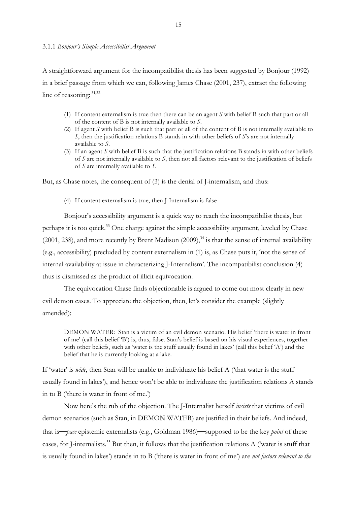A straightforward argument for the incompatibilist thesis has been suggested by Bonjour (1992) in a brief passage from which we can, following James Chase (2001, 237), extract the following line of reasoning: 31,32

- (1) If content externalism is true then there can be an agent *S* with belief B such that part or all of the content of B is not internally available to *S*.
- (2) If agent *S* with belief B is such that part or all of the content of B is not internally available to *S*, then the justification relations B stands in with other beliefs of *S*'s are not internally available to *S*.
- (3) If an agent *S* with belief B is such that the justification relations B stands in with other beliefs of *S* are not internally available to *S*, then not all factors relevant to the justification of beliefs of *S* are internally available to *S*.

But, as Chase notes, the consequent of (3) is the denial of J-internalism, and thus:

(4) If content externalism is true, then J-Internalism is false

Bonjour's accessibility argument is a quick way to reach the incompatibilist thesis, but perhaps it is too quick.<sup>33</sup> One charge against the simple accessibility argument, leveled by Chase  $(2001, 238)$ , and more recently by Brent Madison  $(2009)$ ,  $34$  is that the sense of internal availability (e.g., accessibility) precluded by content externalism in (1) is, as Chase puts it, 'not the sense of internal availability at issue in characterizing J-Internalism'. The incompatibilist conclusion (4) thus is dismissed as the product of illicit equivocation.

The equivocation Chase finds objectionable is argued to come out most clearly in new evil demon cases. To appreciate the objection, then, let's consider the example (slightly amended):

DEMON WATER: Stan is a victim of an evil demon scenario. His belief 'there is water in front of me' (call this belief 'B') is, thus, false. Stan's belief is based on his visual experiences, together with other beliefs, such as 'water is the stuff usually found in lakes' (call this belief 'A') and the belief that he is currently looking at a lake.

If 'water' is *wide*, then Stan will be unable to individuate his belief A ('that water is the stuff usually found in lakes'), and hence won't be able to individuate the justification relations A stands in to B ('there is water in front of me.')

Now here's the rub of the objection. The J-Internalist herself *insists* that victims of evil demon scenarios (such as Stan, in DEMON WATER) are justified in their beliefs. And indeed, that is *pace* epistemic externalists (e.g., Goldman 1986) supposed to be the key *point* of these cases, for J-internalists. <sup>35</sup> But then, it follows that the justification relations A ('water is stuff that is usually found in lakes') stands in to B ('there is water in front of me') are *not factors relevant to the*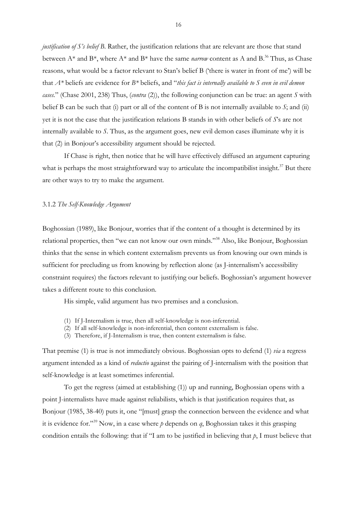*justification of S's belief B*. Rather, the justification relations that are relevant are those that stand between A\* and B\*, where A\* and B\* have the same *narrow* content as A and B. <sup>36</sup> Thus, as Chase reasons, what would be a factor relevant to Stan's belief B ('there is water in front of me') will be that *A\** beliefs are evidence for *B\** beliefs, and "*this fact is internally available to S even in evil demon cases.*" (Chase 2001, 238) Thus, (*contra* (2)), the following conjunction can be true: an agent *S* with belief B can be such that (i) part or all of the content of B is not internally available to *S*; and (ii) yet it is not the case that the justification relations B stands in with other beliefs of *S*'s are not internally available to *S*. Thus, as the argument goes, new evil demon cases illuminate why it is that (2) in Bonjour's accessibility argument should be rejected.

If Chase is right, then notice that he will have effectively diffused an argument capturing what is perhaps the most straightforward way to articulate the incompatibilist insight.<sup>37</sup> But there are other ways to try to make the argument.

#### 3.1.2 *The Self-Knowledge Argument*

Boghossian (1989), like Bonjour, worries that if the content of a thought is determined by its relational properties, then "we can not know our own minds."<sup>38</sup> Also, like Bonjour, Boghossian thinks that the sense in which content externalism prevents us from knowing our own minds is sufficient for precluding us from knowing by reflection alone (as J-internalism's accessibility constraint requires) the factors relevant to justifying our beliefs. Boghossian's argument however takes a different route to this conclusion.

His simple, valid argument has two premises and a conclusion.

- (1) If J-Internalism is true, then all self-knowledge is non-inferential.
- (2) If all self-knowledge is non-inferential, then content externalism is false.
- (3) Therefore, if J-Internalism is true, then content externalism is false.

That premise (1) is true is not immediately obvious. Boghossian opts to defend (1) *via* a regress argument intended as a kind of *reductio* against the pairing of J-internalism with the position that self-knowledge is at least sometimes inferential.

To get the regress (aimed at establishing (1)) up and running, Boghossian opens with a point J-internalists have made against reliabilists, which is that justification requires that, as Bonjour (1985, 38-40) puts it, one "[must] grasp the connection between the evidence and what it is evidence for."<sup>39</sup> Now, in a case where  $p$  depends on  $q$ , Boghossian takes it this grasping condition entails the following: that if "I am to be justified in believing that *p*, I must believe that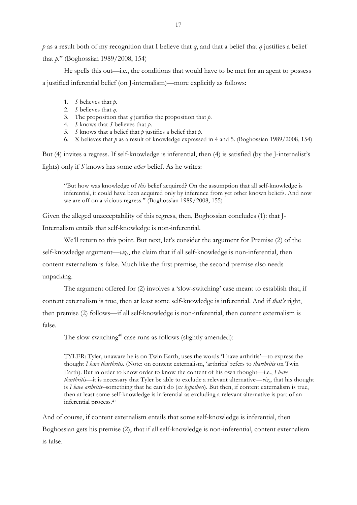*p* as a result both of my recognition that I believe that *q*, and that a belief that *q* justifies a belief that *p*." (Boghossian 1989/2008, 154)

He spells this out—i.e., the conditions that would have to be met for an agent to possess a justified inferential belief (on J-internalism)—more explicitly as follows:

- 1. *S* believes that *p*.
- 2. *S* believes that *q*.
- 3. The proposition that *q* justifies the proposition that *p*.
- 4. *S* knows that *S* believes that *p*.
- 5. *S* knows that a belief that *p* justifies a belief that *p*.
- 6. X believes that *p* as a result of knowledge expressed in 4 and 5. (Boghossian 1989/2008, 154)

But (4) invites a regress. If self-knowledge is inferential, then (4) is satisfied (by the J-internalist's lights) only if *S* knows has some *other* belief. As he writes:

"But how was knowledge of *this* belief acquired? On the assumption that all self-knowledge is inferential, it could have been acquired only by inference from yet other known beliefs. And now we are off on a vicious regress." (Boghossian 1989/2008, 155)

Given the alleged unacceptability of this regress, then, Boghossian concludes (1): that J-Internalism entails that self-knowledge is non-inferential.

We'll return to this point. But next, let's consider the argument for Premise (2) of the self-knowledge argument—*viz*., the claim that if all self-knowledge is non-inferential, then content externalism is false. Much like the first premise, the second premise also needs unpacking.

The argument offered for (2) involves a 'slow-switching' case meant to establish that, if content externalism is true, then at least some self-knowledge is inferential. And if *that's* right, then premise (2) follows—if all self-knowledge is non-inferential, then content externalism is false.

The slow-switching<sup>40</sup> case runs as follows (slightly amended):

TYLER: Tyler, unaware he is on Twin Earth, uses the words 'I have arthritis'—to express the thought *I have tharthritis.* (Note: on content externalism, 'arthritis' refers to *tharthritis* on Twin Earth). But in order to know order to know the content of his own thought—i.e., *I have tharthritis*—it is necessary that Tyler be able to exclude a relevant alternative—*viz*., that his thought is *I have arthritis--*something that he can't do (*ex hypothesi*). But then, if content externalism is true, then at least some self-knowledge is inferential as excluding a relevant alternative is part of an inferential process. 41

And of course, if content externalism entails that some self-knowledge is inferential, then Boghossian gets his premise (2), that if all self-knowledge is non-inferential, content externalism is false.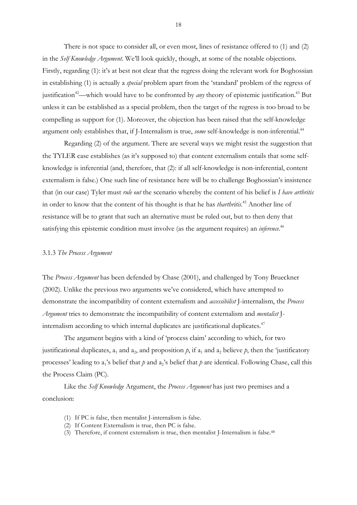There is not space to consider all, or even most, lines of resistance offered to (1) and (2) in the *Self Knowledge Argument*. We'll look quickly, though, at some of the notable objections. Firstly, regarding (1): it's at best not clear that the regress doing the relevant work for Boghossian in establishing (1) is actually a *special* problem apart from the 'standard' problem of the regress of justification<sup>42</sup>—which would have to be confronted by *any* theory of epistemic justification.<sup>43</sup> But unless it can be established as a special problem, then the target of the regress is too broad to be compelling as support for (1). Moreover, the objection has been raised that the self-knowledge argument only establishes that, if J-Internalism is true, *some* self-knowledge is non-inferential. 44

Regarding (2) of the argument. There are several ways we might resist the suggestion that the TYLER case establishes (as it's supposed to) that content externalism entails that some selfknowledge is inferential (and, therefore, that (2): if all self-knowledge is non-inferential, content externalism is false.) One such line of resistance here will be to challenge Boghossian's insistence that (in our case) Tyler must *rule out* the scenario whereby the content of his belief is *I have arthritis* in order to know that the content of his thought is that he has *tharthritis.* <sup>45</sup> Another line of resistance will be to grant that such an alternative must be ruled out, but to then deny that satisfying this epistemic condition must involve (as the argument requires) an *inference.* 46

## 3.1.3 *The Process Argument*

The *Process Argument* has been defended by Chase (2001), and challenged by Tony Brueckner (2002). Unlike the previous two arguments we've considered, which have attempted to demonstrate the incompatibility of content externalism and *accessibilist* J-internalism, the *Process Argument* tries to demonstrate the incompatibility of content externalism and *mentalist* Jinternalism according to which internal duplicates are justificational duplicates. 47

The argument begins with a kind of 'process claim' according to which, for two justificational duplicates,  $a_1$  and  $a_2$ , and proposition  $p$ , if  $a_1$  and  $a_2$  believe  $p$ , then the 'justificatory' processes' leading to  $a_1$ 's belief that  $p$  and  $a_2$ 's belief that  $p$  are identical. Following Chase, call this the Process Claim (PC).

Like the *Self Knowledge* Argument, the *Process Argument* has just two premises and a conclusion:

- (1) If PC is false, then mentalist J-internalism is false.
- (2) If Content Externalism is true, then PC is false.
- (3) Therefore, if content externalism is true, then mentalist J-Internalism is false.<sup>48</sup>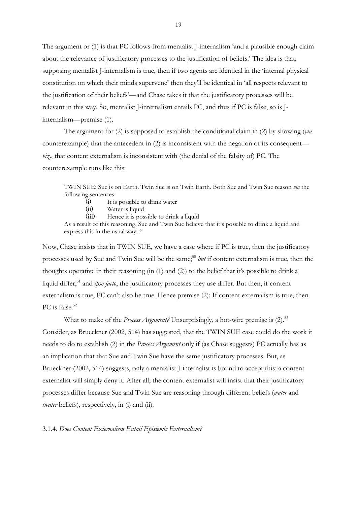The argument or (1) is that PC follows from mentalist J-internalism 'and a plausible enough claim about the relevance of justificatory processes to the justification of beliefs.' The idea is that, supposing mentalist J-internalism is true, then if two agents are identical in the 'internal physical constitution on which their minds supervene' then they'll be identical in 'all respects relevant to the justification of their beliefs'—and Chase takes it that the justificatory processes will be relevant in this way. So, mentalist J-internalism entails PC, and thus if PC is false, so is Jinternalism—premise (1).

The argument for (2) is supposed to establish the conditional claim in (2) by showing (*via*  counterexample) that the antecedent in (2) is inconsistent with the negation of its consequent *viz*., that content externalism is inconsistent with (the denial of the falsity of) PC. The counterexample runs like this:

TWIN SUE: Sue is on Earth. Twin Sue is on Twin Earth. Both Sue and Twin Sue reason *via* the following sentences:<br>(i) It is

It is possible to drink water

(ii) Water is liquid<br>(iii) Hence it is pos

Hence it is possible to drink a liquid

As a result of this reasoning, Sue and Twin Sue believe that it's possible to drink a liquid and express this in the usual way. 49

Now, Chase insists that in TWIN SUE, we have a case where if PC is true, then the justificatory processes used by Sue and Twin Sue will be the same; <sup>50</sup> *but* if content externalism is true, then the thoughts operative in their reasoning (in (1) and (2)) to the belief that it's possible to drink a liquid differ, <sup>51</sup> and *ipso facto*, the justificatory processes they use differ. But then, if content externalism is true, PC can't also be true. Hence premise (2): If content externalism is true, then PC is false.<sup>52</sup>

What to make of the *Process Argument?* Unsurprisingly, a hot-wire premise is (2).<sup>53</sup> Consider, as Brueckner (2002, 514) has suggested, that the TWIN SUE case could do the work it needs to do to establish (2) in the *Process Argument* only if (as Chase suggests) PC actually has as an implication that that Sue and Twin Sue have the same justificatory processes. But, as Brueckner (2002, 514) suggests, only a mentalist J-internalist is bound to accept this; a content externalist will simply deny it. After all, the content externalist will insist that their justificatory processes differ because Sue and Twin Sue are reasoning through different beliefs (*water* and *twater* beliefs), respectively, in (i) and (ii).

3.1.4. *Does Content Externalism Entail Epistemic Externalism?*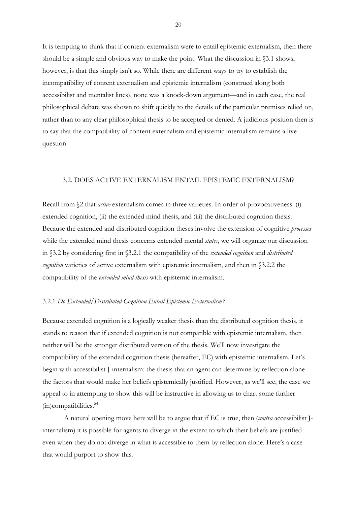It is tempting to think that if content externalism were to entail epistemic externalism, then there should be a simple and obvious way to make the point. What the discussion in §3.1 shows, however, is that this simply isn't so. While there are different ways to try to establish the incompatibility of content externalism and epistemic internalism (construed along both accessibilist and mentalist lines), none was a knock-down argument—and in each case, the real philosophical debate was shown to shift quickly to the details of the particular premises relied on, rather than to any clear philosophical thesis to be accepted or denied. A judicious position then is to say that the compatibility of content externalism and epistemic internalism remains a live question.

## 3.2. DOES ACTIVE EXTERNALISM ENTAIL EPISTEMIC EXTERNALISM?

Recall from  $\S2$  that *active* externalism comes in three varieties. In order of provocativeness: (i) extended cognition, (ii) the extended mind thesis, and (iii) the distributed cognition thesis. Because the extended and distributed cognition theses involve the extension of cognitive *processes* while the extended mind thesis concerns extended mental *states*, we will organize our discussion in §3.2 by considering first in §3.2.1 the compatibility of the *extended cognition* and *distributed cognition* varieties of active externalism with epistemic internalism, and then in §3.2.2 the compatibility of the *extended mind thesis* with epistemic internalism.

#### 3.2.1 *Do Extended/Distributed Cognition Entail Epistemic Externalism?*

Because extended cognition is a logically weaker thesis than the distributed cognition thesis, it stands to reason that if extended cognition is not compatible with epistemic internalism, then neither will be the stronger distributed version of the thesis. We'll now investigate the compatibility of the extended cognition thesis (hereafter, EC) with epistemic internalism. Let's begin with accessibilist J-internalism: the thesis that an agent can determine by reflection alone the factors that would make her beliefs epistemically justified. However, as we'll see, the case we appeal to in attempting to show this will be instructive in allowing us to chart some further (in)compatibilities. 54

A natural opening move here will be to argue that if EC is true, then (*contra* accessibilist Jinternalism) it is possible for agents to diverge in the extent to which their beliefs are justified even when they do not diverge in what is accessible to them by reflection alone. Here's a case that would purport to show this.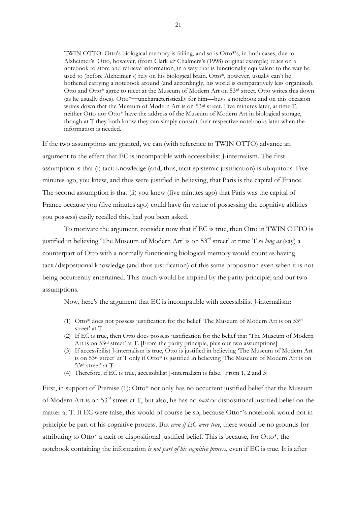TWIN OTTO: Otto's biological memory is failing, and so is Otto\*'s, in both cases, due to Alzheimer's. Otto, however, (from Clark & Chalmers's (1998) original example) relies on a notebook to store and retrieve information, in a way that is functionally equivalent to the way he used to (before Alzheimer's) rely on his biological brain. Otto\*, however, usually can't be bothered carrying a notebook around (and accordingly, his world is comparatively less organized). Otto and Otto\* agree to meet at the Museum of Modern Art on 53rd street. Otto writes this down (as he usually does). Otto $*$ —uncharacteristically for him—buys a notebook and on this occasion writes down that the Museum of Modern Art is on 53rd street. Five minutes later, at time T, neither Otto nor Otto\* have the address of the Museum of Modern Art in biological storage, though at T they both know they can simply consult their respective notebooks later when the information is needed.

If the two assumptions are granted, we can (with reference to TWIN OTTO) advance an argument to the effect that EC is incompatible with accessibilist J-internalism. The first assumption is that (i) tacit knowledge (and, thus, tacit epistemic justification) is ubiquitous. Five minutes ago, you knew, and thus were justified in believing, that Paris is the capital of France. The second assumption is that (ii) you knew (five minutes ago) that Paris was the capital of France because you (five minutes ago) could have (in virtue of possessing the cognitive abilities you possess) easily recalled this, had you been asked.

To motivate the argument, consider now that if EC is true, then Otto in TWIN OTTO is justified in believing 'The Museum of Modern Art' is on 53rd street' at time T *so long as* (say) a counterpart of Otto with a normally functioning biological memory would count as having tacit/dispositional knowledge (and thus justification) of this same proposition even when it is not being occurrently entertained. This much would be implied by the parity principle; and our two assumptions.

Now, here's the argument that EC is incompatible with accessibilist J-internalism:

- (1) Otto\* does not possess justification for the belief 'The Museum of Modern Art is on  $53<sup>rd</sup>$ street' at T.
- (2) If EC is true, then Otto does possess justification for the belief that 'The Museum of Modern Art is on 53rd street' at T. [From the parity principle, plus our two assumptions]
- (3) If accessibilist J-internalism is true, Otto is justified in believing 'The Museum of Modern Art is on 53rd street' at T only if Otto\* is justified in believing 'The Museum of Modern Art is on 53rd street' at T.
- (4) Therefore, if EC is true, accessibilist J-internalism is false. [From 1, 2 and 3]

First, in support of Premise (1): Otto\* not only has no occurrent justified belief that the Museum of Modern Art is on 53rd street at T, but also, he has no *tacit* or dispositional justified belief on the matter at T. If EC were false, this would of course be so, because Otto\*'s notebook would not in principle be part of his cognitive process. But *even if EC were true*, there would be no grounds for attributing to Otto\* a tacit or dispositional justified belief. This is because, for Otto\*, the notebook containing the information *is not part of his cognitive process*, even if EC is true. It is after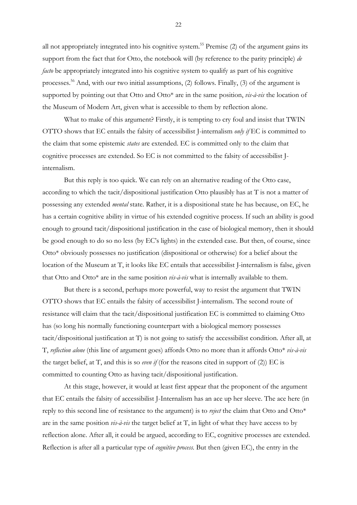all not appropriately integrated into his cognitive system. <sup>55</sup> Premise (2) of the argument gains its support from the fact that for Otto, the notebook will (by reference to the parity principle) *de facto* be appropriately integrated into his cognitive system to qualify as part of his cognitive processes. <sup>56</sup> And, with our two initial assumptions, (2) follows. Finally, (3) of the argument is supported by pointing out that Otto and Otto\* are in the same position, *vis-à-vis* the location of the Museum of Modern Art, given what is accessible to them by reflection alone.

What to make of this argument? Firstly, it is tempting to cry foul and insist that TWIN OTTO shows that EC entails the falsity of accessibilist J-internalism *only if* EC is committed to the claim that some epistemic *states* are extended. EC is committed only to the claim that cognitive processes are extended. So EC is not committed to the falsity of accessibilist Jinternalism.

But this reply is too quick. We can rely on an alternative reading of the Otto case, according to which the tacit/dispositional justification Otto plausibly has at T is not a matter of possessing any extended *mental* state. Rather, it is a dispositional state he has because, on EC, he has a certain cognitive ability in virtue of his extended cognitive process. If such an ability is good enough to ground tacit/dispositional justification in the case of biological memory, then it should be good enough to do so no less (by EC's lights) in the extended case. But then, of course, since Otto\* obviously possesses no justification (dispositional or otherwise) for a belief about the location of the Museum at T, it looks like EC entails that accessibilist J-internalism is false, given that Otto and Otto\* are in the same position *vis-à-vis* what is internally available to them.

But there is a second, perhaps more powerful, way to resist the argument that TWIN OTTO shows that EC entails the falsity of accessibilist J-internalism. The second route of resistance will claim that the tacit/dispositional justification EC is committed to claiming Otto has (so long his normally functioning counterpart with a biological memory possesses tacit/dispositional justification at T) is not going to satisfy the accessibilist condition. After all, at T, *reflection alone* (this line of argument goes) affords Otto no more than it affords Otto\* *vis-à-vis* the target belief, at T, and this is so *even if* (for the reasons cited in support of (2)) EC is committed to counting Otto as having tacit/dispositional justification.

At this stage, however, it would at least first appear that the proponent of the argument that EC entails the falsity of accessibilist J-Internalism has an ace up her sleeve. The ace here (in reply to this second line of resistance to the argument) is to *reject* the claim that Otto and Otto\* are in the same position *vis-à-vis* the target belief at T, in light of what they have access to by reflection alone. After all, it could be argued, according to EC, cognitive processes are extended. Reflection is after all a particular type of *cognitive process.* But then (given EC), the entry in the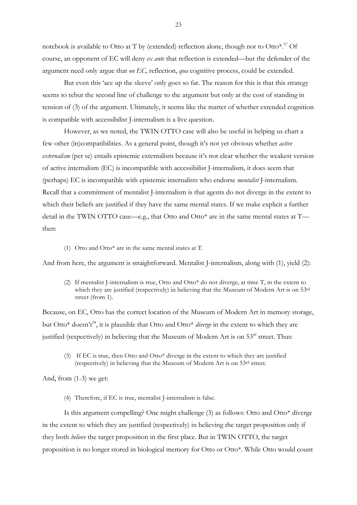notebook is available to Otto at T by (extended) reflection alone, though not to Otto $*$ <sup>57</sup> Of course, an opponent of EC will deny *ex ante* that reflection is extended—but the defender of the argument need only argue that *on EC*, reflection, *qua* cognitive process, could be extended.

But even this 'ace up the sleeve' only goes so far. The reason for this is that this strategy seems to rebut the second line of challenge to the argument but only at the cost of standing in tension of (3) of the argument. Ultimately, it seems like the matter of whether extended cognition is compatible with accessibilist J-internalism is a live question.

However, as we noted, the TWIN OTTO case will also be useful in helping us chart a few other (in)compatibilities. As a general point, though it's not yet obvious whether *active externalism* (per se) entails epistemic externalism because it's not clear whether the weakest version of active internalism (EC) is incompatible with accessibilist J-internalism, it does seem that (perhaps) EC is incompatible with epistemic internalists who endorse *mentalist* J-internalism. Recall that a commitment of mentalist J-internalism is that agents do not diverge in the extent to which their beliefs are justified if they have the same mental states. If we make explicit a further detail in the TWIN OTTO case—e.g., that Otto and Otto\* are in the same mental states at T then:

(1) Otto and Otto\* are in the same mental states at T.

And from here, the argument is straightforward. Mentalist J-internalism, along with (1), yield (2):

(2) If mentalist J-internalism is true, Otto and Otto\* do not diverge, at time T, in the extent to which they are justified (respectively) in believing that the Museum of Modern Art is on 53rd street (from 1).

Because, on EC, Otto has the correct location of the Museum of Modern Art in memory storage, but Otto<sup>\*</sup> doesn't<sup>58</sup>, it is plausible that Otto and Otto<sup>\*</sup> *diverge* in the extent to which they are justified (respectively) in believing that the Museum of Modern Art is on 53<sup>rd</sup> street. Thus:

(3) If EC is true, then Otto and Otto\* diverge in the extent to which they are justified (respectively) in believing that the Museum of Modern Art is on 53rd street.

And, from (1-3) we get:

(4) Therefore, if EC is true, mentalist J-internalism is false.

Is this argument compelling? One might challenge (3) as follows: Otto and Otto\* diverge in the extent to which they are justified (respectively) in believing the target proposition only if they both *believe* the target proposition in the first place. But in TWIN OTTO, the target proposition is no longer stored in biological memory for Otto or Otto\*. While Otto would count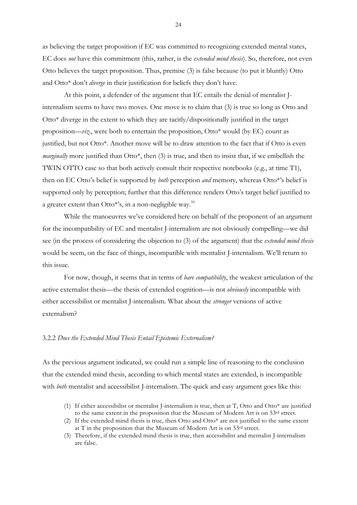as believing the target proposition if EC was committed to recognizing extended mental states, EC does *not* have this commitment (this, rather, is the *extended mind thesis*). So, therefore, not even Otto believes the target proposition. Thus, premise (3) is false because (to put it bluntly) Otto and Otto\* don't *diverge* in their justification for beliefs they don't have.

At this point, a defender of the argument that EC entails the denial of mentalist Jinternalism seems to have two moves. One move is to claim that (3) is true so long as Otto and Otto\* diverge in the extent to which they are tacitly/dispositionally justified in the target proposition—*viz*., were both to entertain the proposition, Otto\* would (by EC) count as justified, but not Otto\*. Another move will be to draw attention to the fact that if Otto is even *marginally* more justified than Otto<sup>\*</sup>, then (3) is true, and then to insist that, if we embellish the TWIN OTTO case so that both actively consult their respective notebooks (e.g., at time T1), then on EC Otto's belief is supported by *both* perception *and* memory, whereas Otto\*'s belief is supported only by perception; further that this difference renders Otto's target belief justified to a greater extent than Otto\*'s, in a non-negligible way.<sup>59</sup>

While the manoeuvres we've considered here on behalf of the proponent of an argument for the incompatibility of EC and mentalist J-internalism are not obviously compelling—we did see (in the process of considering the objection to (3) of the argument) that the *extended mind thesis* would be seem, on the face of things, incompatible with mentalist J-internalism. We'll return to this issue.

For now, though, it seems that in terms of *bare compatibility*, the weakest articulation of the active externalist thesis—the thesis of extended cognition—is not *obviously* incompatible with either accessibilist or mentalist J-internalism. What about the *stronger* versions of active externalism?

#### 3.2.2 *Does the Extended Mind Thesis Entail Epistemic Externalism?*

As the previous argument indicated, we could run a simple line of reasoning to the conclusion that the extended mind thesis, according to which mental states are extended, is incompatible with *both* mentalist and accessibilist *J*-internalism. The quick and easy argument goes like this:

- (1) If either accessibilist or mentalist J-internalism is true, then at T, Otto and Otto\* are justified to the same extent in the proposition that the Museum of Modern Art is on 53rd street.
- (2) If the extended mind thesis is true, then Otto and Otto\* are not justified to the same extent at T in the proposition that the Museum of Modern Art is on 53rd street.
- (3) Therefore, if the extended mind thesis is true, then accessibilist and mentalist J-internalism are false.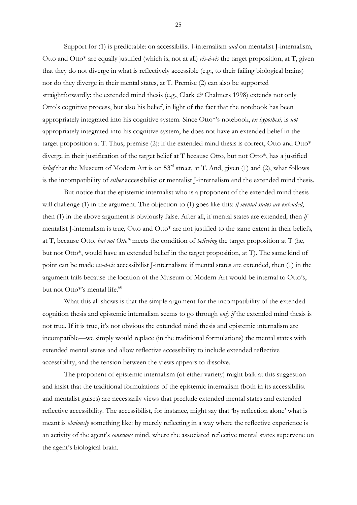Support for (1) is predictable: on accessibilist J-internalism *and* on mentalist J-internalism, Otto and Otto\* are equally justified (which is, not at all) *vis-à-vis* the target proposition, at T, given that they do not diverge in what is reflectively accessible (e.g., to their failing biological brains) nor do they diverge in their mental states, at T. Premise (2) can also be supported straightforwardly: the extended mind thesis (e.g., Clark  $\mathcal{O}^{\times}$  Chalmers 1998) extends not only Otto's cognitive process, but also his belief, in light of the fact that the notebook has been appropriately integrated into his cognitive system. Since Otto\*'s notebook, *ex hypothesi,* is *not* appropriately integrated into his cognitive system, he does not have an extended belief in the target proposition at T. Thus, premise (2): if the extended mind thesis is correct, Otto and Otto\* diverge in their justification of the target belief at T because Otto, but not Otto\*, has a justified *belief* that the Museum of Modern Art is on 53<sup>rd</sup> street, at T. And, given (1) and (2), what follows is the incompatibility of *either* accessibilist or mentalist J-internalism and the extended mind thesis.

But notice that the epistemic internalist who is a proponent of the extended mind thesis will challenge (1) in the argument. The objection to (1) goes like this: *if mental states are extended*, then (1) in the above argument is obviously false. After all, if mental states are extended, then *if*  mentalist J-internalism is true, Otto and Otto\* are not justified to the same extent in their beliefs, at T, because Otto, *but not Otto\** meets the condition of *believing* the target proposition at T (he, but not Otto\*, would have an extended belief in the target proposition, at T). The same kind of point can be made *vis-à-vis* accessibilist J-internalism: if mental states are extended, then (1) in the argument fails because the location of the Museum of Modern Art would be internal to Otto's, but not Otto\*'s mental life.<sup>60</sup>

What this all shows is that the simple argument for the incompatibility of the extended cognition thesis and epistemic internalism seems to go through *only if* the extended mind thesis is not true. If it is true, it's not obvious the extended mind thesis and epistemic internalism are incompatible—we simply would replace (in the traditional formulations) the mental states with extended mental states and allow reflective accessibility to include extended reflective accessibility, and the tension between the views appears to dissolve.

The proponent of epistemic internalism (of either variety) might balk at this suggestion and insist that the traditional formulations of the epistemic internalism (both in its accessibilist and mentalist guises) are necessarily views that preclude extended mental states and extended reflective accessibility. The accessibilist, for instance, might say that 'by reflection alone' what is meant is *obviously* something like: by merely reflecting in a way where the reflective experience is an activity of the agent's *conscious* mind, where the associated reflective mental states supervene on the agent's biological brain.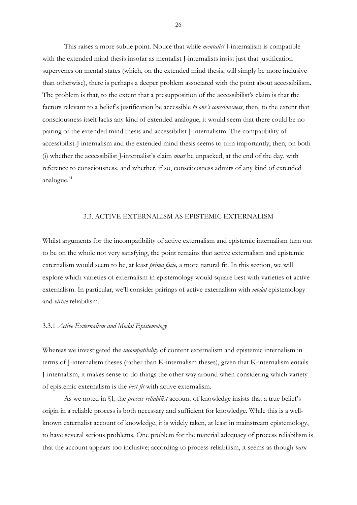This raises a more subtle point. Notice that while *mentalist* J-internalism is compatible with the extended mind thesis insofar as mentalist J-internalists insist just that justification supervenes on mental states (which, on the extended mind thesis, will simply be more inclusive than otherwise), there is perhaps a deeper problem associated with the point about accessibilism. The problem is that, to the extent that a presupposition of the accessibilist's claim is that the factors relevant to a belief's justification be accessible *to one's consciousness*, then, to the extent that consciousness itself lacks any kind of extended analogue, it would seem that there could be no pairing of the extended mind thesis and accessibilist J-internalistm. The compatibility of accessibilist-J internalism and the extended mind thesis seems to turn importantly, then, on both (i) whether the accessibilist J-internalist's claim *must* be unpacked, at the end of the day, with reference to consciousness, and whether, if so, consciousness admits of any kind of extended analogue. 61

#### 3.3. ACTIVE EXTERNALISM AS EPISTEMIC EXTERNALISM

Whilst arguments for the incompatibility of active externalism and epistemic internalism turn out to be on the whole not very satisfying, the point remains that active externalism and epistemic externalism would seem to be, at least *prima facie,* a more natural fit. In this section, we will explore which varieties of externalism in epistemology would square best with varieties of active externalism. In particular, we'll consider pairings of active externalism with *modal* epistemology and *virtue* reliabilism.

### 3.3.1 *Active Externalism and Modal Epistemology*

Whereas we investigated the *incompatibility* of content externalism and epistemic internalism in terms of J-internalism theses (rather than K-internalism theses), given that K-internalism entails J-internalism, it makes sense to do things the other way around when considering which variety of epistemic externalism is the *best fit* with active externalism.

As we noted in §1, the *process reliabilist* account of knowledge insists that a true belief's origin in a reliable process is both necessary and sufficient for knowledge. While this is a wellknown externalist account of knowledge, it is widely taken, at least in mainstream epistemology, to have several serious problems. One problem for the material adequacy of process reliabilism is that the account appears too inclusive; according to process reliabilism, it seems as though *barn*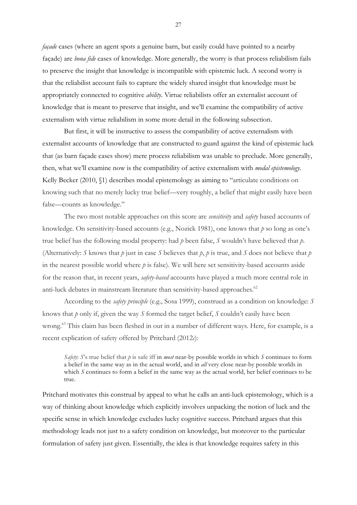*façade* cases (where an agent spots a genuine barn, but easily could have pointed to a nearby façade) are *bona fide* cases of knowledge. More generally, the worry is that process reliabilism fails to preserve the insight that knowledge is incompatible with epistemic luck. A second worry is that the reliabilist account fails to capture the widely shared insight that knowledge must be appropriately connected to cognitive *ability*. Virtue reliabilists offer an externalist account of knowledge that is meant to preserve that insight, and we'll examine the compatibility of active externalism with virtue reliabilism in some more detail in the following subsection.

But first, it will be instructive to assess the compatibility of active externalism with externalist accounts of knowledge that are constructed to guard against the kind of epistemic luck that (as barn façade cases show) mere process reliabilism was unable to preclude. More generally, then, what we'll examine now is the compatibility of active externalism with *modal epistemology*. Kelly Becker (2010, §1) describes modal epistemology as aiming to "articulate conditions on knowing such that no merely lucky true belief—very roughly, a belief that might easily have been false—counts as knowledge."

The two most notable approaches on this score are *sensitivity* and *safety* based accounts of knowledge. On sensitivity-based accounts (e.g., Nozick 1981), one knows that *p* so long as one's true belief has the following modal property: had *p* been false, *S* wouldn't have believed that *p*. (Alternatively: S knows that  $p$  just in case S believes that  $p$ ,  $p$  is true, and S does not believe that  $p$ in the nearest possible world where *p* is false). We will here set sensitivity-based accounts aside for the reason that, in recent years, *safety-based* accounts have played a much more central role in anti-luck debates in mainstream literature than sensitivity-based approaches.<sup>62</sup>

According to the *safety principle* (e.g., Sosa 1999), construed as a condition on knowledge: *S* knows that *p* only if, given the way *S* formed the target belief, *S* couldn't easily have been wrong.<sup>63</sup> This claim has been fleshed in out in a number of different ways. Here, for example, is a recent explication of safety offered by Pritchard (2012*c*):

*Safety*: *S*'s true belief that *p* is safe iff in *most* near-by possible worlds in which *S* continues to form a belief in the same way as in the actual world, and in *all* very close near-by possible worlds in which *S* continues to form a belief in the same way as the actual world, her belief continues to be true.

Pritchard motivates this construal by appeal to what he calls an anti-luck epistemology, which is a way of thinking about knowledge which explicitly involves unpacking the notion of luck and the specific sense in which knowledge excludes lucky cognitive success. Pritchard argues that this methodology leads not just to a safety condition on knowledge, but moreover to the particular formulation of safety just given. Essentially, the idea is that knowledge requires safety in this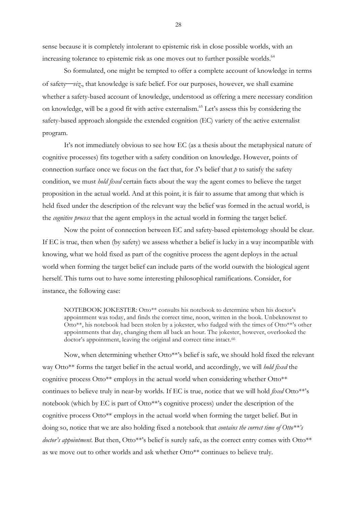sense because it is completely intolerant to epistemic risk in close possible worlds, with an increasing tolerance to epistemic risk as one moves out to further possible worlds.<sup>64</sup>

So formulated, one might be tempted to offer a complete account of knowledge in terms of safety*viz*., that knowledge is safe belief. For our purposes, however, we shall examine whether a safety-based account of knowledge, understood as offering a mere necessary condition on knowledge, will be a good fit with active externalism.<sup>65</sup> Let's assess this by considering the safety-based approach alongside the extended cognition (EC) variety of the active externalist program.

It's not immediately obvious to see how EC (as a thesis about the metaphysical nature of cognitive processes) fits together with a safety condition on knowledge. However, points of connection surface once we focus on the fact that, for *S*'s belief that *p* to satisfy the safety condition, we must *hold fixed* certain facts about the way the agent comes to believe the target proposition in the actual world. And at this point, it is fair to assume that among that which is held fixed under the description of the relevant way the belief was formed in the actual world, is the *cognitive process* that the agent employs in the actual world in forming the target belief.

Now the point of connection between EC and safety-based epistemology should be clear. If EC is true, then when (by safety) we assess whether a belief is lucky in a way incompatible with knowing, what we hold fixed as part of the cognitive process the agent deploys in the actual world when forming the target belief can include parts of the world outwith the biological agent herself. This turns out to have some interesting philosophical ramifications. Consider, for instance, the following case:

NOTEBOOK JOKESTER: Otto\*\* consults his notebook to determine when his doctor's appointment was today, and finds the correct time, noon, written in the book. Unbeknownst to Otto\*\*, his notebook had been stolen by a jokester, who fudged with the times of Otto\*\*'s other appointments that day, changing them all back an hour. The jokester, however, overlooked the doctor's appointment, leaving the original and correct time intact.<sup>66</sup>

Now, when determining whether Otto\*\*'s belief is safe, we should hold fixed the relevant way Otto\*\* forms the target belief in the actual world, and accordingly, we will *hold fixed* the cognitive process Otto\*\* employs in the actual world when considering whether Otto\*\* continues to believe truly in near-by worlds. If EC is true, notice that we will hold *fixed* Otto\*\*'s notebook (which by EC is part of Otto\*\*'s cognitive process) under the description of the cognitive process Otto\*\* employs in the actual world when forming the target belief. But in doing so, notice that we are also holding fixed a notebook that *contains the correct time of Otto\*\*'s*  doctor's appointment. But then, Otto\*\*'s belief is surely safe, as the correct entry comes with Otto\*\* as we move out to other worlds and ask whether Otto\*\* continues to believe truly.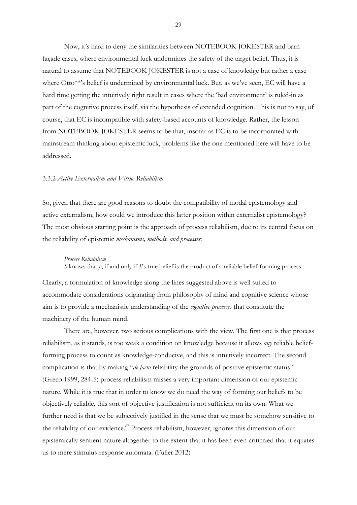Now, it's hard to deny the similarities between NOTEBOOK JOKESTER and barn façade cases, where environmental luck undermines the safety of the target belief. Thus, it is natural to assume that NOTEBOOK JOKESTER is not a case of knowledge but rather a case where Otto\*\*'s belief is undermined by environmental luck. But, as we've seen, EC will have a hard time getting the intuitively right result in cases where the 'bad environment' is ruled-in as part of the cognitive process itself, via the hypothesis of extended cognition. This is not to say, of course, that EC is incompatible with safety-based accounts of knowledge. Rather, the lesson from NOTEBOOK JOKESTER seems to be that, insofar as EC is to be incorporated with mainstream thinking about epistemic luck, problems like the one mentioned here will have to be addressed.

#### 3.3.2 *Active Externalism and Virtue Reliabilism*

So, given that there are good reasons to doubt the compatibility of modal epistemology and active externalism, how could we introduce this latter position within externalist epistemology? The most obvious starting point is the approach of process reliabilism, due to its central focus on the reliability of epistemic *mechanisms, methods, and processes*:

#### *Process Reliabilism*

*S* knows that *p*, if and only if *S*'s true belief is the product of a reliable belief-forming process.

Clearly, a formulation of knowledge along the lines suggested above is well suited to accommodate considerations originating from philosophy of mind and cognitive science whose aim is to provide a mechanistic understanding of the *cognitive processes* that constitute the machinery of the human mind.

There are, however, two serious complications with the view. The first one is that process reliabilism, as it stands, is too weak a condition on knowledge because it allows *any* reliable beliefforming process to count as knowledge-conducive, and this is intuitively incorrect. The second complication is that by making "*de facto* reliability the grounds of positive epistemic status" (Greco 1999, 284-5) process reliabilism misses a very important dimension of our epistemic nature. While it is true that in order to know we do need the way of forming our beliefs to be objectively reliable, this sort of objective justification is not sufficient on its own. What we further need is that we be subjectively justified in the sense that we must be somehow sensitive to the reliability of our evidence.<sup>67</sup> Process reliabilism, however, ignores this dimension of our epistemically sentient nature altogether to the extent that it has been even criticized that it equates us to mere stimulus-response automata. (Fuller 2012)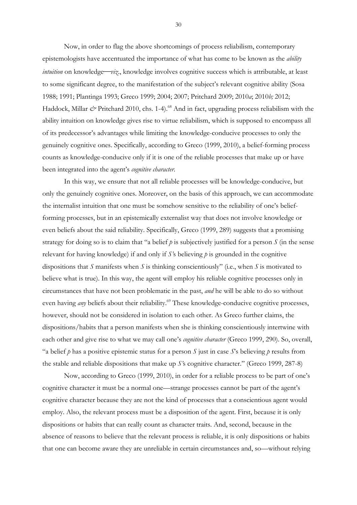Now, in order to flag the above shortcomings of process reliabilism, contemporary epistemologists have accentuated the importance of what has come to be known as the *ability intuition* on knowledge—viz., knowledge involves cognitive success which is attributable, at least to some significant degree, to the manifestation of the subject's relevant cognitive ability (Sosa 1988; 1991; Plantinga 1993; Greco 1999; 2004; 2007; Pritchard 2009; 2010*a*; 2010*b;* 2012; Haddock, Millar  $\dot{\mathcal{O}}$  Pritchard 2010, chs. 1-4).<sup>68</sup> And in fact, upgrading process reliabilism with the ability intuition on knowledge gives rise to virtue reliabilism, which is supposed to encompass all of its predecessor's advantages while limiting the knowledge-conducive processes to only the genuinely cognitive ones. Specifically, according to Greco (1999, 2010), a belief-forming process counts as knowledge-conducive only if it is one of the reliable processes that make up or have been integrated into the agent's *cognitive character*.

In this way, we ensure that not all reliable processes will be knowledge-conducive, but only the genuinely cognitive ones. Moreover, on the basis of this approach, we can accommodate the internalist intuition that one must be somehow sensitive to the reliability of one's beliefforming processes, but in an epistemically externalist way that does not involve knowledge or even beliefs about the said reliability. Specifically, Greco (1999, 289) suggests that a promising strategy for doing so is to claim that "a belief *p* is subjectively justified for a person *S* (in the sense relevant for having knowledge) if and only if *S'*s believing *p* is grounded in the cognitive dispositions that *S* manifests when *S* is thinking conscientiously" (i.e., when *S* is motivated to believe what is true). In this way, the agent will employ his reliable cognitive processes only in circumstances that have not been problematic in the past, *and* he will be able to do so without even having *any* beliefs about their reliability.<sup>69</sup> These knowledge-conducive cognitive processes, however, should not be considered in isolation to each other. As Greco further claims, the dispositions/habits that a person manifests when she is thinking conscientiously intertwine with each other and give rise to what we may call one's *cognitive character* (Greco 1999, 290). So, overall, "a belief *p* has a positive epistemic status for a person *S* just in case *S*'s believing *p* results from the stable and reliable dispositions that make up *S'*s cognitive character." (Greco 1999, 287-8)

Now, according to Greco (1999, 2010), in order for a reliable process to be part of one's cognitive character it must be a normal one—strange processes cannot be part of the agent's cognitive character because they are not the kind of processes that a conscientious agent would employ. Also, the relevant process must be a disposition of the agent. First, because it is only dispositions or habits that can really count as character traits. And, second, because in the absence of reasons to believe that the relevant process is reliable, it is only dispositions or habits that one can become aware they are unreliable in certain circumstances and, so—without relying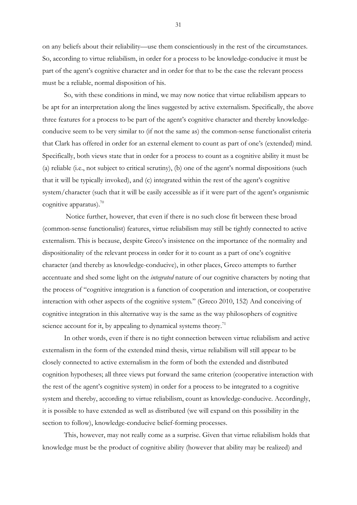on any beliefs about their reliability—use them conscientiously in the rest of the circumstances. So, according to virtue reliabilism, in order for a process to be knowledge-conducive it must be part of the agent's cognitive character and in order for that to be the case the relevant process must be a reliable, normal disposition of his.

So, with these conditions in mind, we may now notice that virtue reliabilism appears to be apt for an interpretation along the lines suggested by active externalism. Specifically, the above three features for a process to be part of the agent's cognitive character and thereby knowledgeconducive seem to be very similar to (if not the same as) the common-sense functionalist criteria that Clark has offered in order for an external element to count as part of one's (extended) mind. Specifically, both views state that in order for a process to count as a cognitive ability it must be (a) reliable (i.e., not subject to critical scrutiny), (b) one of the agent's normal dispositions (such that it will be typically invoked), and (c) integrated within the rest of the agent's cognitive system/character (such that it will be easily accessible as if it were part of the agent's organismic cognitive apparatus). $70$ 

Notice further, however, that even if there is no such close fit between these broad (common-sense functionalist) features, virtue reliabilism may still be tightly connected to active externalism. This is because, despite Greco's insistence on the importance of the normality and dispositionality of the relevant process in order for it to count as a part of one's cognitive character (and thereby as knowledge-conducive), in other places, Greco attempts to further accentuate and shed some light on the *integrated* nature of our cognitive characters by noting that the process of "cognitive integration is a function of cooperation and interaction, or cooperative interaction with other aspects of the cognitive system." (Greco 2010, 152) And conceiving of cognitive integration in this alternative way is the same as the way philosophers of cognitive science account for it, by appealing to dynamical systems theory.<sup>71</sup>

In other words, even if there is no tight connection between virtue reliabilism and active externalism in the form of the extended mind thesis, virtue reliabilism will still appear to be closely connected to active externalism in the form of both the extended and distributed cognition hypotheses; all three views put forward the same criterion (cooperative interaction with the rest of the agent's cognitive system) in order for a process to be integrated to a cognitive system and thereby, according to virtue reliabilism, count as knowledge-conducive. Accordingly, it is possible to have extended as well as distributed (we will expand on this possibility in the section to follow), knowledge-conducive belief-forming processes.

This, however, may not really come as a surprise. Given that virtue reliabilism holds that knowledge must be the product of cognitive ability (however that ability may be realized) and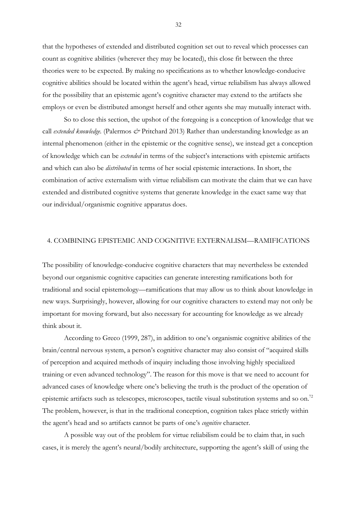that the hypotheses of extended and distributed cognition set out to reveal which processes can count as cognitive abilities (wherever they may be located), this close fit between the three theories were to be expected. By making no specifications as to whether knowledge-conducive cognitive abilities should be located within the agent's head, virtue reliabilism has always allowed for the possibility that an epistemic agent's cognitive character may extend to the artifacts she employs or even be distributed amongst herself and other agents she may mutually interact with.

So to close this section, the upshot of the foregoing is a conception of knowledge that we call *extended knowledge.* (Palermos *&* Pritchard 2013) Rather than understanding knowledge as an internal phenomenon (either in the epistemic or the cognitive sense), we instead get a conception of knowledge which can be *extended* in terms of the subject's interactions with epistemic artifacts and which can also be *distributed* in terms of her social epistemic interactions. In short, the combination of active externalism with virtue reliabilism can motivate the claim that we can have extended and distributed cognitive systems that generate knowledge in the exact same way that our individual/organismic cognitive apparatus does.

## 4. COMBINING EPISTEMIC AND COGNITIVE EXTERNALISM—RAMIFICATIONS

The possibility of knowledge-conducive cognitive characters that may nevertheless be extended beyond our organismic cognitive capacities can generate interesting ramifications both for traditional and social epistemology—ramifications that may allow us to think about knowledge in new ways. Surprisingly, however, allowing for our cognitive characters to extend may not only be important for moving forward, but also necessary for accounting for knowledge as we already think about it.

According to Greco (1999, 287), in addition to one's organismic cognitive abilities of the brain/central nervous system, a person's cognitive character may also consist of "acquired skills of perception and acquired methods of inquiry including those involving highly specialized training or even advanced technology". The reason for this move is that we need to account for advanced cases of knowledge where one's believing the truth is the product of the operation of epistemic artifacts such as telescopes, microscopes, tactile visual substitution systems and so on.<sup>72</sup> The problem, however, is that in the traditional conception, cognition takes place strictly within the agent's head and so artifacts cannot be parts of one's *cognitive* character.

A possible way out of the problem for virtue reliabilism could be to claim that, in such cases, it is merely the agent's neural/bodily architecture, supporting the agent's skill of using the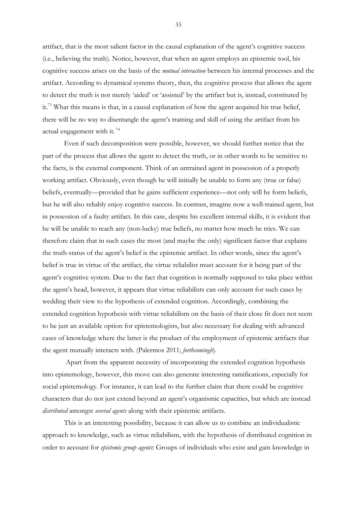artifact, that is the most salient factor in the causal explanation of the agent's cognitive success (i.e., believing the truth). Notice, however, that when an agent employs an epistemic tool, his cognitive success arises on the basis of the *mutual interaction* between his internal processes and the artifact. According to dynamical systems theory, then, the cognitive process that allows the agent to detect the truth is not merely 'aided' or 'assisted' by the artifact but is, instead, constituted by it.<sup>73</sup> What this means is that, in a causal explanation of how the agent acquired his true belief, there will be no way to disentangle the agent's training and skill of using the artifact from his actual engagement with it. <sup>74</sup>

Even if such decomposition were possible, however, we should further notice that the part of the process that allows the agent to detect the truth, or in other words to be sensitive to the facts, is the external component. Think of an untrained agent in possession of a properly working artifact. Obviously, even though he will initially be unable to form any (true or false) beliefs, eventually—provided that he gains sufficient experience—not only will he form beliefs, but he will also reliably enjoy cognitive success. In contrast, imagine now a well-trained agent, but in possession of a faulty artifact. In this case, despite his excellent internal skills, it is evident that he will be unable to reach any (non-lucky) true beliefs, no matter how much he tries. We can therefore claim that in such cases the most (and maybe the only) significant factor that explains the truth-status of the agent's belief is the epistemic artifact. In other words, since the agent's belief is true in virtue of the artifact, the virtue reliabilist must account for it being part of the agent's cognitive system. Due to the fact that cognition is normally supposed to take place within the agent's head, however, it appears that virtue reliabilists can only account for such cases by wedding their view to the hypothesis of extended cognition. Accordingly, combining the extended cognition hypothesis with virtue reliabilism on the basis of their close fit does not seem to be just an available option for epistemologists, but also necessary for dealing with advanced cases of knowledge where the latter is the product of the employment of epistemic artifacts that the agent mutually interacts with. (Palermos 2011; *forthcomingb*).

Apart from the apparent necessity of incorporating the extended cognition hypothesis into epistemology, however, this move can also generate interesting ramifications, especially for social epistemology. For instance, it can lead to the further claim that there could be cognitive characters that do not just extend beyond an agent's organismic capacities, but which are instead *distributed* amongst *several agents* along with their epistemic artifacts.

This is an interesting possibility, because it can allow us to combine an individualistic approach to knowledge, such as virtue reliabilism, with the hypothesis of distributed cognition in order to account for *epistemic group agents*: Groups of individuals who exist and gain knowledge in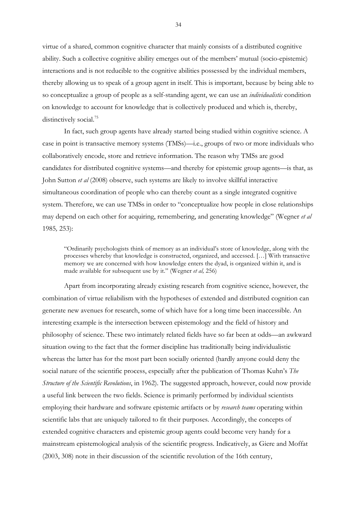virtue of a shared, common cognitive character that mainly consists of a distributed cognitive ability. Such a collective cognitive ability emerges out of the members' mutual (socio-epistemic) interactions and is not reducible to the cognitive abilities possessed by the individual members, thereby allowing us to speak of a group agent in itself. This is important, because by being able to so conceptualize a group of people as a self-standing agent, we can use an *individualistic* condition on knowledge to account for knowledge that is collectively produced and which is, thereby, distinctively social.<sup>75</sup>

In fact, such group agents have already started being studied within cognitive science. A case in point is transactive memory systems (TMSs)—i.e., groups of two or more individuals who collaboratively encode, store and retrieve information. The reason why TMSs are good candidates for distributed cognitive systems—and thereby for epistemic group agents—is that, as John Sutton *et al* (2008) observe, such systems are likely to involve skillful interactive simultaneous coordination of people who can thereby count as a single integrated cognitive system. Therefore, we can use TMSs in order to "conceptualize how people in close relationships may depend on each other for acquiring, remembering, and generating knowledge" (Wegner *et al* 1985*,* 253):

"Ordinarily psychologists think of memory as an individual's store of knowledge, along with the processes whereby that knowledge is constructed, organized, and accessed. […] With transactive memory we are concerned with how knowledge enters the dyad, is organized within it, and is made available for subsequent use by it." (Wegner *et al,* 256)

Apart from incorporating already existing research from cognitive science, however, the combination of virtue reliabilism with the hypotheses of extended and distributed cognition can generate new avenues for research, some of which have for a long time been inaccessible. An interesting example is the intersection between epistemology and the field of history and philosophy of science. These two intimately related fields have so far been at odds—an awkward situation owing to the fact that the former discipline has traditionally being individualistic whereas the latter has for the most part been socially oriented (hardly anyone could deny the social nature of the scientific process, especially after the publication of Thomas Kuhn's *The Structure of the Scientific Revolutions*, in 1962). The suggested approach, however, could now provide a useful link between the two fields. Science is primarily performed by individual scientists employing their hardware and software epistemic artifacts or by *research teams* operating within scientific labs that are uniquely tailored to fit their purposes. Accordingly, the concepts of extended cognitive characters and epistemic group agents could become very handy for a mainstream epistemological analysis of the scientific progress. Indicatively, as Giere and Moffat (2003, 308) note in their discussion of the scientific revolution of the 16th century,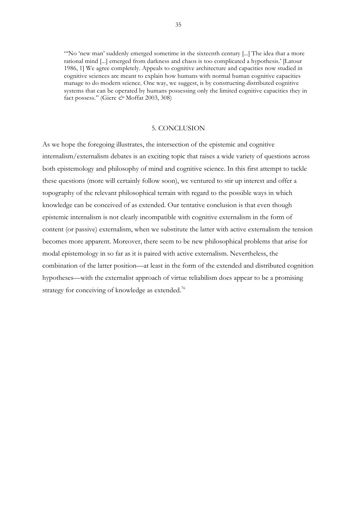"'No 'new man' suddenly emerged sometime in the sixteenth century [...] The idea that a more rational mind [...] emerged from darkness and chaos is too complicated a hypothesis.' [Latour 1986, 1] We agree completely. Appeals to cognitive architecture and capacities now studied in cognitive sciences are meant to explain how humans with normal human cognitive capacities manage to do modern science. One way, we suggest, is by constructing distributed cognitive systems that can be operated by humans possessing only the limited cognitive capacities they in fact possess." (Giere *&* Moffat 2003, 308)

## 5. CONCLUSION

As we hope the foregoing illustrates, the intersection of the epistemic and cognitive internalism/externalism debates is an exciting topic that raises a wide variety of questions across both epistemology and philosophy of mind and cognitive science. In this first attempt to tackle these questions (more will certainly follow soon), we ventured to stir up interest and offer a topography of the relevant philosophical terrain with regard to the possible ways in which knowledge can be conceived of as extended. Our tentative conclusion is that even though epistemic internalism is not clearly incompatible with cognitive externalism in the form of content (or passive) externalism, when we substitute the latter with active externalism the tension becomes more apparent. Moreover, there seem to be new philosophical problems that arise for modal epistemology in so far as it is paired with active externalism. Nevertheless, the combination of the latter position—at least in the form of the extended and distributed cognition hypotheses—with the externalist approach of virtue reliabilism does appear to be a promising strategy for conceiving of knowledge as extended.<sup>76</sup>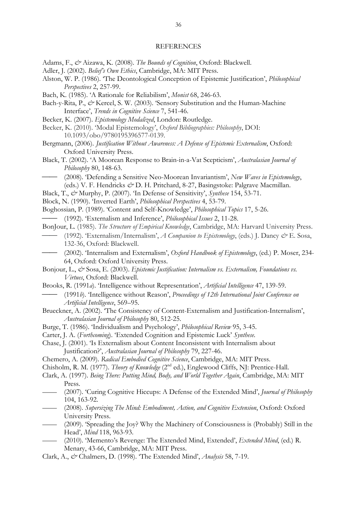#### REFERENCES

- Adams, F., *&* Aizawa, K. (2008). *The Bounds of Cognition*, Oxford: Blackwell.
- Adler, J. (2002). *Belief's Own Ethics*, Cambridge, MA: MIT Press.
- Alston, W. P. (1986). 'The Deontological Conception of Epistemic Justification', *Philosophical Perspectives* 2, 257-99.
- Bach, K. (1985). 'A Rationale for Reliabilism', *Monist* 68, 246-63.
- Bach-y-Rita, P., *&* Kercel, S. W. (2003). 'Sensory Substitution and the Human-Machine Interface', *Trends in Cognitive Science* 7, 541-46.
- Becker, K. (2007). *Epistemology Modalized*, London: Routledge.
- Becker, K. (2010). 'Modal Epistemology', *Oxford Bibliographies: Philosophy*, DOI: 10.1093/obo/9780195396577-0139.
- Bergmann, (2006). *Justification Without Awareness: A Defense of Epistemic Externalism*, Oxford: Oxford University Press.
- Black, T. (2002). 'A Moorean Response to Brain-in-a-Vat Scepticism', *Australasian Journal of Philosophy* 80, 148-63.
- (2008). 'Defending a Sensitive Neo-Moorean Invariantism', *New Waves in Epistemology*, (eds.) V. F. Hendricks  $\mathcal{O}$  D. H. Pritchard, 8-27, Basingstoke: Palgrave Macmillan.
- Black, T., *&* Murphy, P. (2007). 'In Defense of Sensitivity', *Synthese* 154, 53-71.
- Block, N. (1990). 'Inverted Earth', *Philosophical Perspectives* 4, 53-79.
- Boghossian, P. (1989). 'Content and Self-Knowledge', *Philosophical Topics* 17, 5-26.
- (1992). 'Externalism and Inference', *Philosophical Issues* 2, 11-28.
- BonJour, L. (1985). *The Structure of Empirical Knowledge*, Cambridge, MA: Harvard University Press.
- (1992). 'Externalism/Internalism', *A Companion to Epistemology*, (eds.) J. Dancy *&* E. Sosa, 132-36, Oxford: Blackwell.
- (2002). 'Internalism and Externalism', *Oxford Handbook of Epistemology*, (ed.) P. Moser, 234- 64, Oxford: Oxford University Press.
- Bonjour, L., & Sosa, E. (2003). *Epistemic Justification: Internalism vs. Externalism, Foundations vs. Virtues*, Oxford: Blackwell.
- Brooks, R. (1991*a*). 'Intelligence without Representation', *Artificial Intelligence* 47, 139-59.
- (1991*b*). 'Intelligence without Reason', *Proceedings of 12th International Joint Conference on Artificial Intelligence*, 569–95.
- Brueckner, A. (2002). 'The Consistency of Content-Externalism and Justification-Internalism', *Australasian Journal of Philosophy* 80, 512-25.
- Burge, T. (1986). 'Individualism and Psychology', *Philosophical Review* 95, 3-45.
- Carter, J. A. (*Forthcoming*). 'Extended Cognition and Epistemic Luck' *Synthese.*
- Chase, J. (2001). 'Is Externalism about Content Inconsistent with Internalism about Justification?', *Australasian Journal of Philosophy* 79, 227-46.
- Chemero, A. (2009). *Radical Embodied Cognitive Science*, Cambridge, MA: MIT Press.
- Chisholm, R. M. (1977). *Theory of Knowledge* (2<sup>nd</sup> ed.), Englewood Cliffs, NJ: Prentice-Hall.
- Clark, A. (1997). *Being There: Putting Mind, Body, and World Together Again*, Cambridge, MA: MIT Press.
- —— (2007). 'Curing Cognitive Hiccups: A Defense of the Extended Mind', *Journal of Philosophy* 104, 163-92.
- —— (2008). *Supersizing The Mind: Embodiment, Action, and Cognitive Extension*, Oxford: Oxford University Press.
- —— (2009). 'Spreading the Joy? Why the Machinery of Consciousness is (Probably) Still in the Head', *Mind* 118, 963-93.
- —— (2010). 'Memento's Revenge: The Extended Mind, Extended', *Extended Mind*, (ed.) R. Menary, 43-66, Cambridge, MA: MIT Press.
- Clark, A., *&* Chalmers, D. (1998). 'The Extended Mind', *Analysis* 58, 7-19.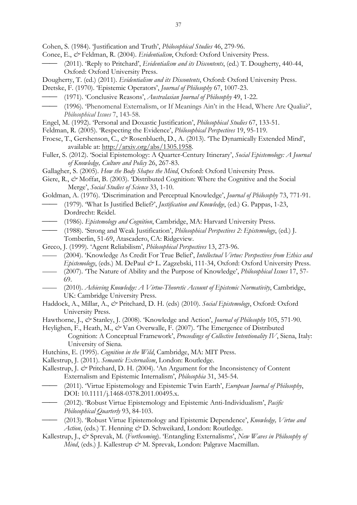Cohen, S. (1984). 'Justification and Truth', *Philosophical Studies* 46, 279-96.

- Conee, E., *&* Feldman, R. (2004). *Evidentialism*, Oxford: Oxford University Press.
- (2011). 'Reply to Pritchard', *Evidentialism and its Discontents*, (ed.) T. Dougherty, 440-44, Oxford: Oxford University Press.
- Dougherty, T. (ed.) (2011). *Evidentialism and its Discontents*, Oxford: Oxford University Press.
- Dretske, F. (1970). 'Epistemic Operators', *Journal of Philosophy* 67, 1007-23.
- (1971). 'Conclusive Reasons', *Australasian Journal of Philosophy* 49, 1-22.
- (1996). 'Phenomenal Externalism, or If Meanings Ain't in the Head, Where Are Qualia?', *Philosophical Issues* 7, 143-58.
- Engel, M. (1992). 'Personal and Doxastic Justification', *Philosophical Studies* 67, 133-51.
- Feldman, R. (2005). 'Respecting the Evidence', *Philosophical Perspectives* 19, 95-119.
- Froese, T., Gershenson, C., & Rosenblueth, D., A. (2013). 'The Dynamically Extended Mind', available at: http://arxiv.org/abs/1305.1958.
- Fuller, S. (2012). 'Social Epistemology: A Quarter-Century Itinerary', *Social Epistemology: A Journal of Knowledge, Culture and Policy* 26, 267-83.
- Gallagher, S. (2005). *How the Body Shapes the Mind*, Oxford: Oxford University Press.
- Giere, R.,  $\mathcal{O}$  Moffat, B. (2003). 'Distributed Cognition: Where the Cognitive and the Social Merge', *Social Studies of Science* 33, 1-10.
- Goldman, A. (1976). 'Discrimination and Perceptual Knowledge', *Journal of Philosophy* 73, 771-91.
- (1979). 'What Is Justified Belief?', *Justification and Knowledge*, (ed.) G. Pappas, 1-23, Dordrecht: Reidel.
- (1986). *Epistemology and Cognition*, Cambridge, MA: Harvard University Press.
- (1988). 'Strong and Weak Justification', *Philosophical Perspectives 2: Epistemology*, (ed.) J. Tomberlin, 51-69, Atascadero, CA: Ridgeview.
- Greco, J. (1999). 'Agent Reliabilism', *Philosophical Perspectives* 13, 273-96.
- —— (2004). 'Knowledge As Credit For True Belief', *Intellectual Virtue: Perspectives from Ethics and Epistemology*, (eds.) M. DePaul *&* L. Zagzebski, 111-34, Oxford: Oxford University Press. —— (2007). 'The Nature of Ability and the Purpose of Knowledge', *Philosophical Issues* 17, 57-
- 69.
- —— (2010). *Achieving Knowledge: A Virtue-Theoretic Account of Epistemic Normativity*, Cambridge, UK: Cambridge University Press.
- Haddock, A., Millar, A., *&* Pritchard, D. H. (eds) (2010). *Social Epistemology*, Oxford: Oxford University Press.
- Hawthorne, J., & Stanley, J. (2008). 'Knowledge and Action', *Journal of Philosophy* 105, 571-90.
- Heylighen, F., Heath, M.,  $\mathcal{O}$  Van Overwalle, F. (2007). The Emergence of Distributed Cognition: A Conceptual Framework', *Proceedings of Collective Intentionality IV*, Siena, Italy: University of Siena.
- Hutchins, E. (1995). *Cognition in the Wild*, Cambridge, MA: MIT Press.
- Kallestrup, J. (2011). *Semantic Externalism*, London: Routledge.
- Kallestrup, J. & Pritchard, D. H. (2004). 'An Argument for the Inconsistency of Content Externalism and Epistemic Internalism', *Philosophia* 31, 345-54.
- (2011). 'Virtue Epistemology and Epistemic Twin Earth', *European Journal of Philosophy*, DOI: 10.1111/j.1468-0378.2011.00495.x.
- (2012). 'Robust Virtue Epistemology and Epistemic Anti-Individualism', *Pacific Philosophical Quarterly* 93, 84-103.
- (2013). 'Robust Virtue Epistemology and Epistemic Dependence', *Knowledge, Virtue and Action*, (eds.) T. Henning  $\mathcal{O}$  D. Schweikard, London: Routledge.
- Kallestrup, J., *&* Sprevak, M. (*Forthcoming*). 'Entangling Externalisms', *New Waves in Philosophy of Mind*, (eds.) J. Kallestrup & M. Sprevak, London: Palgrave Macmillan.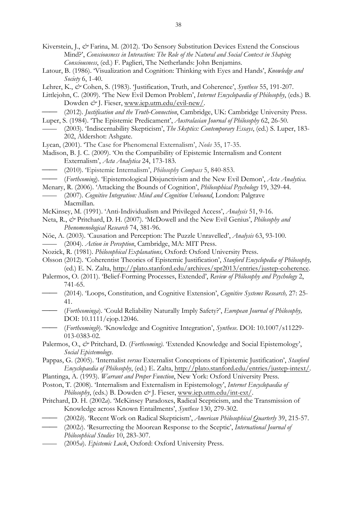Kiverstein, J., & Farina, M. (2012). 'Do Sensory Substitution Devices Extend the Conscious Mind?', *Consciousness in Interaction: The Role of the Natural and Social Context in Shaping Consciousness*, (ed.) F. Paglieri, The Netherlands: John Benjamins.

- Latour, B. (1986). 'Visualization and Cognition: Thinking with Eyes and Hands', *Knowledge and Society* 6, 1-40.
- Lehrer, K., & Cohen, S. (1983). 'Justification, Truth, and Coherence', *Synthese* 55, 191-207.
- Littlejohn, C. (2009). 'The New Evil Demon Problem', *Internet Encyclopaedia of Philosophy*, (eds.) B. Dowden *&* J. Fieser, www.iep.utm.edu/evil-new/.
- (2012). *Justification and the Truth-Connection*, Cambridge, UK: Cambridge University Press.
- Luper, S. (1984). 'The Epistemic Predicament', *Australasian Journal of Philosophy* 62, 26-50. —— (2003). 'Indiscernability Skepticism', *The Skeptics: Contemporary Essays*, (ed.) S. Luper, 183- 202, Aldershot: Ashgate.
- Lycan, (2001). 'The Case for Phenomenal Externalism', *Noûs* 35, 17-35.
- Madison, B. J. C. (2009). 'On the Compatibility of Epistemic Internalism and Content Externalism', *Acta Analytica* 24, 173-183.
- (2010). 'Epistemic Internalism', *Philosophy Compass* 5, 840-853.
- (*Forthcoming*). 'Epistemological Disjunctivism and the New Evil Demon', *Acta Analytica*.

Menary, R. (2006). 'Attacking the Bounds of Cognition', *Philosophical Psychology* 19, 329-44. —— (2007). *Cognitive Integration: Mind and Cognition Unbound*, London: Palgrave Macmillan.

- McKinsey, M. (1991). 'Anti-Individualism and Privileged Access', *Analysis* 51, 9-16.
- Neta, R., *&* Pritchard, D. H. (2007). 'McDowell and the New Evil Genius', *Philosophy and Phenomenological Research* 74, 381-96.
- Nöe, A. (2003). 'Causation and Perception: The Puzzle Unravelled', *Analysis* 63, 93-100. —— (2004). *Action in Perception*, Cambridge, MA: MIT Press.
- Nozick, R. (1981). *Philosophical Explanations,* Oxford: Oxford University Press.
- Olsson (2012). 'Coherentist Theories of Epistemic Justification', *Stanford Encyclopedia of Philosophy,* (ed.) E. N. Zalta, http://plato.stanford.edu/archives/spr2013/entries/justep-coherence.
- Palermos, O. (2011). 'Belief-Forming Processes, Extended', *Review of Philosophy and Psychology* 2, 741-65.
- (2014). 'Loops, Constitution, and Cognitive Extension', *Cognitive Systems Research,* 27: 25- 41.
- (*Forthcominga*). 'Could Reliability Naturally Imply Safety?', *European Journal of Philosophy,*  DOI: 10.1111/ejop.12046.
- (*Forthcomingb*). 'Knowledge and Cognitive Integration', *Synthese*. DOI: 10.1007/s11229- 013-0383-02.
- Palermos, O., & Pritchard, D. (*Forthcoming*). 'Extended Knowledge and Social Epistemology', *Social Epistemology*.
- Pappas, G. (2005). 'Internalist *versus* Externalist Conceptions of Epistemic Justification', *Stanford Encyclopaedia of Philosophy*, (ed.) E. Zalta, http://plato.stanford.edu/entries/justep-intext/.
- Plantinga, A. (1993). *Warrant and Proper Function*, New York: Oxford University Press.
- Poston, T. (2008). 'Internalism and Externalism in Epistemology', *Internet Encyclopaedia of Philosophy*, (eds.) B. Dowden *&* J. Fieser, www.iep.utm.edu/int-ext/.

Pritchard, D. H. (2002*a*). 'McKinsey Paradoxes, Radical Scepticism, and the Transmission of Knowledge across Known Entailments', *Synthese* 130, 279-302.

- (2002*b*). 'Recent Work on Radical Skepticism', *American Philosophical Quarterly* 39, 215-57.
- (2002*c*). 'Resurrecting the Moorean Response to the Sceptic', *International Journal of Philosophical Studies* 10, 283-307.
- —— (2005*a*). *Epistemic Luck*, Oxford: Oxford University Press.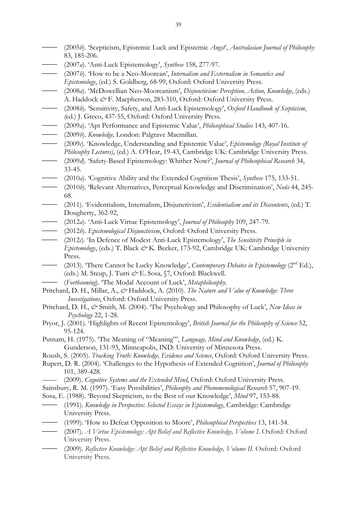- (2005*b*). 'Scepticism, Epistemic Luck and Epistemic *Angst*', *Australasian Journal of Philosophy* 83, 185-206.
- (2007*a*). 'Anti-Luck Epistemology', *Synthese* 158, 277-97.
- (2007*b*). 'How to be a Neo-Moorean', *Internalism and Externalism in Semantics and Epistemology*, (ed.) S. Goldberg, 68-99, Oxford: Oxford University Press.
- (2008*a*). 'McDowellian Neo-Mooreanism', *Disjunctivism: Perception, Action, Knowledge*, (eds.) A. Haddock *&* F. Macpherson, 283-310, Oxford: Oxford University Press.
- (2008*b*). 'Sensitivity, Safety, and Anti-Luck Epistemology', *Oxford Handbook of Scepticism*, *(*ed.) J. Greco, 437-55, Oxford: Oxford University Press.
- (2009*a*). 'Apt Performance and Epistemic Value', *Philosophical Studies* 143, 407-16.
- (2009*b*). *Knowledge,* London: Palgrave Macmillan.
- (2009*c*). 'Knowledge, Understanding and Epistemic Value', *Epistemology (Royal Institute of Philosophy Lectures)*, (ed.) A. O'Hear, 19-43, Cambridge UK: Cambridge University Press.
- (2009*d*). 'Safety-Based Epistemology: Whither Now?', *Journal of Philosophical Research* 34, 33-45.
- (2010*a*). 'Cognitive Ability and the Extended Cognition Thesis', *Synthese* 175, 133-51.
- (2010*b*). 'Relevant Alternatives, Perceptual Knowledge and Discrimination', *Noûs* 44, 245- 68.
- (2011). 'Evidentialism, Internalism, Disjunctivism', *Evidentialism and its Discontents*, (ed.) T. Dougherty, 362-92,
- (2012*a*). 'Anti-Luck Virtue Epistemology', *Journal of Philosophy* 109, 247-79.
- (2012*b*). *Epistemological Disjunctivism*, Oxford: Oxford University Press.
- (2012*c*). 'In Defence of Modest Anti-Luck Epistemology', *The Sensitivity Principle in Epistemology*, (eds.) T. Black *&* K. Becker, 173-92, Cambridge UK: Cambridge University Press.
- (2013). 'There Cannot be Lucky Knowledge', *Contemporary Debates in Epistemology* (2nd Ed.), (eds.) M. Steup, J. Turri *&* E. Sosa, §7, Oxford: Blackwell.
	- (*Forthcoming*). 'The Modal Account of Luck', *Metaphilosophy*.
- Pritchard, D. H., Millar, A., & Haddock, A. (2010). *The Nature and Value of Knowledge: Three Investigations*, Oxford: Oxford University Press.
- Pritchard, D. H., & Smith, M. (2004). 'The Psychology and Philosophy of Luck', *New Ideas in Psychology* 22, 1-28.
- Pryor, J. (2001). 'Highlights of Recent Epistemology', *British Journal for the Philosophy of Science* 52, 95-124.
- Putnam, H. (1975). 'The Meaning of "Meaning"', *Language, Mind and Knowledge*, (ed.) K. Gunderson, 131-93, Minneapolis, IND: University of Minnesota Press.
- Roush, S. (2005). *Tracking Truth: Knowledge, Evidence and Science*, Oxford: Oxford University Press.
- Rupert, D. R. (2004). 'Challenges to the Hypothesis of Extended Cognition', *Journal of Philosophy* 101, 389-428.
- —— (2009). *Cognitive Systems and the Extended Mind*, Oxford: Oxford University Press.
- Sainsbury, R. M. (1997). 'Easy Possibilities', *Philosophy and Phenomenological Research* 57, 907-19.
- Sosa, E. (1988). 'Beyond Skepticism, to the Best of our Knowledge', *Mind* 97, 153-88.
- (1991). *Knowledge in Perspective: Selected Essays in Epistemology*, Cambridge: Cambridge University Press.
- (1999). 'How to Defeat Opposition to Moore', *Philosophical Perspectives* 13, 141-54.
- (2007). *A Virtue Epistemology: Apt Belief and Reflective Knowledge, Volume I*. Oxford: Oxford University Press.
- (2009). *Reflective Knowledge: Apt Belief and Reflective Knowledge, Volume II*. Oxford: Oxford University Press.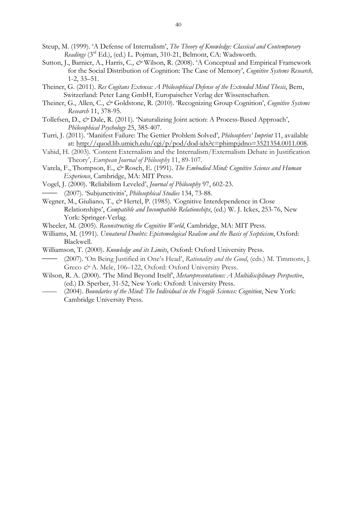- Steup, M. (1999). 'A Defense of Internalism', *The Theory of Knowledge: Classical and Contemporary Readings* (3rd Ed.), (ed.) L. Pojman, 310-21, Belmont, CA: Wadsworth.
- Sutton, I., Barnier, A., Harris, C., & Wilson, R. (2008). 'A Conceptual and Empirical Framework for the Social Distribution of Cognition: The Case of Memory', *Cognitive Systems Research,*  1-2, 33–51.
- Theiner, G. (2011). *Res Cogitans Extensa: A Philosophical Defense of the Extended Mind Thesis*, Bern, Switzerland: Peter Lang GmbH, Europaischer Verlag der Wissenschaften.
- Theiner, G., Allen, C., *&* Goldstone, R. (2010). 'Recognizing Group Cognition', *Cognitive Systems Research* 11, 378-95.
- Tollefsen, D., *&* Dale, R. (2011). 'Naturalizing Joint action: A Process-Based Approach', *Philosophical Psychology* 25, 385-407.
- Turri, J. (2011). 'Manifest Failure: The Gettier Problem Solved', *Philosophers' Imprint* 11, available at: http://quod.lib.umich.edu/cgi/p/pod/dod-idx?c=phimp;idno=3521354.0011.008.
- Vahid, H. (2003). 'Content Externalism and the Internalism/Externalism Debate in Justification Theory', *European Journal of Philosophy* 11, 89-107.
- Varela, F., Thompson, E., *&* Rosch, E. (1991). *The Embodied Mind: Cognitive Science and Human Experience*, Cambridge, MA: MIT Press.
- Vogel, J. (2000). 'Reliabilism Leveled', *Journal of Philosophy* 97, 602-23.
- (2007). 'Subjunctivitis', *Philosophical Studies* 134, 73-88.
- Wegner, M., Giuliano, T., & Hertel, P. (1985). 'Cognitive Interdependence in Close Relationships', *Compatible and Incompatible Relationships*, (ed.) W. J. Ickes, 253-76, New York: Springer-Verlag.
- Wheeler, M. (2005). *Reconstructing the Cognitive World*, Cambridge, MA: MIT Press.
- Williams, M. (1991). *Unnatural Doubts: Epistemological Realism and the Basis of Scepticism*, Oxford: Blackwell.
- Williamson, T. (2000). *Knowledge and its Limits*, Oxford: Oxford University Press.
- (2007). 'On Being Justified in One's Head', *Rationality and the Good*, (eds.) M. Timmons, J. Greco *&* A. Mele, 106–122, Oxford: Oxford University Press.
- Wilson, R. A. (2000). 'The Mind Beyond Itself', *Metarepresentations: A Multidisciplinary Perspective*, (ed.) D. Sperber, 31-52, New York: Oxford: University Press.
- —— (2004). *Boundaries of the Mind: The Individual in the Fragile Sciences: Cognition*, New York: Cambridge University Press.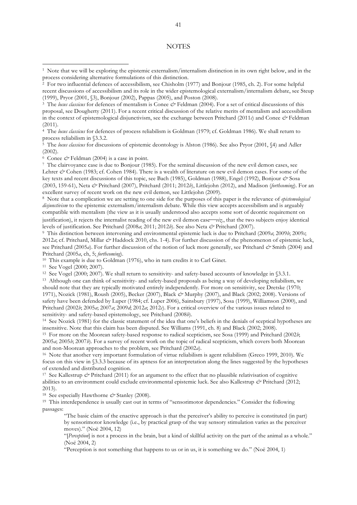#### NOTES

4 The *locus classicus* for defences of process reliabilism is Goldman (1979; cf. Goldman 1986). We shall return to process reliabilism in §3.3.2.

<sup>5</sup> The *locus classicus* for discussions of epistemic deontology is Alston (1986). See also Pryor (2001, §4) and Adler (2002).

6 Conee *&* Feldman (2004) is a case in point.

7 The clairvoyance case is due to Bonjour (1985). For the seminal discussion of the new evil demon cases, see Lehrer & Cohen (1983; cf. Cohen 1984). There is a wealth of literature on new evil demon cases. For some of the key texts and recent discussions of this topic, see Bach (1985), Goldman (1988), Engel (1992), Bonjour & Sosa (2003, 159-61), Neta *&* Pritchard (2007), Pritchard (2011; 2012*b*), Littlejohn (2012), and Madison (*forthcoming*). For an excellent survey of recent work on the new evil demon, see Littlejohn (2009).

8 Note that a complication we are setting to one side for the purposes of this paper is the relevance of *epistemological disjunctivism* to the epistemic externalism/internalism debate. While this view accepts accessibilism and is arguably compatible with mentalism (the view as it is usually understood also accepts some sort of deontic requirement on justification), it rejects the internalist reading of the new evil demon case—viz, that the two subjects enjoy identical levels of justification. See Pritchard (2008*a*; 2011; 2012*b*). See also Neta *&* Pritchard (2007).

9 This distinction between intervening and environmental epistemic luck is due to Pritchard (2009*a*; 2009*b*; 2009*c*; 2012*a*; cf. Pritchard, Millar  $\mathcal{O}^*$  Haddock 2010, chs. 1-4). For further discussion of the phenomenon of epistemic luck, see Pritchard (2005*a*). For further discussion of the notion of luck more generally, see Pritchard  $\mathcal{O}(\mathbf{x})$  Smith (2004) and Pritchard (2005*a*, ch, 5; *forthcoming*).

10 This example is due to Goldman (1976), who in turn credits it to Carl Ginet.

11 See Vogel (2000; 2007).

12 See Vogel (2000; 2007). We shall return to sensitivity- and safety-based accounts of knowledge in §3.3.1.

13 Although one can think of sensitivity- and safety-based proposals as being a way of developing reliabilism, we should note that they are typically motivated entirely independently. For more on sensitivity, see Dretske (1970; 1971), Nozick (1981), Roush (2005), Becker (2007), Black *&* Murphy (2007), and Black (2002; 2008). Versions of safety have been defended by Luper (1984; cf. Luper 2006), Sainsbury (1997), Sosa (1999), Williamson (2000), and Pritchard (2002*b*; 2005*a*; 2007*a*; 2009*d*; 2012*a*; 2012*c*). For a critical overview of the various issues related to sensitivity- and safety-based epistemology, see Pritchard (2008*b*).

14 See Nozick (1981) for the classic statement of the idea that one's beliefs in the denials of sceptical hypotheses are insensitive. Note that this claim has been disputed. See Williams (1991, ch. 8) and Black (2002; 2008).

15 For more on the Moorean safety-based response to radical scepticism, see Sosa (1999) and Pritchard (2002*b*; 2005*a*; 2005*b*; 2007*b*). For a survey of recent work on the topic of radical scepticism, which covers both Moorean and non-Moorean approaches to the problem, see Pritchard (2002*a*).

<sup>16</sup> Note that another very important formulation of virtue reliabilism is agent reliabilism (Greco 1999, 2010). We focus on this view in §3.3.3 because of its aptness for an interpretation along the lines suggested by the hypotheses of extended and distributed cognition.

<sup>17</sup> See Kallestrup  $\dot{\mathcal{O}}$  Pritchard (2011) for an argument to the effect that no plausible relativisation of cognitive abilities to an environment could exclude environmental epistemic luck. See also Kallestrup  $\dot{\varphi}$  Pritchard (2012; 2013).

<sup>18</sup> See especially Hawthorne  $\mathcal{C}^*$  Stanley (2008).

<sup>19</sup> This interdependence is usually cast out in terms of "sensorimotor dependencies." Consider the following passages:

"The basic claim of the enactive approach is that the perceiver's ability to perceive is constituted (in part) by sensorimotor knowledge (i.e., by practical grasp of the way sensory stimulation varies as the perceiver moves)." (Noë 2004, 12)

"[*Perception*] is not a process in the brain, but a kind of skillful activity on the part of the animal as a whole." (Noë 2004, 2)

"Perception is not something that happens to us or in us, it is something we do." (Noë 2004, 1)

<sup>1</sup> Note that we will be exploring the epistemic externalism/internalism distinction in its own right below, and in the process considering alternative formulations of this distinction.

<sup>2</sup> For two influential defences of accessibilism, see Chisholm (1977) and Bonjour (1985, ch. 2). For some helpful recent discussions of accessibilism and its role in the wider epistemological externalism/internalism debate, see Steup (1999), Pryor (2001, §3), Bonjour (2002), Pappas (2005), and Poston (2008).

<sup>&</sup>lt;sup>3</sup> The *locus classicus* for defences of mentalism is Conee  $\mathcal{O}$  Feldman (2004). For a set of critical discussions of this proposal, see Dougherty (2011). For a recent critical discussion of the relative merits of mentalism and accessibilism in the context of epistemological disjunctivism, see the exchange between Pritchard (2011*c*) and Conee *&* Feldman (2011).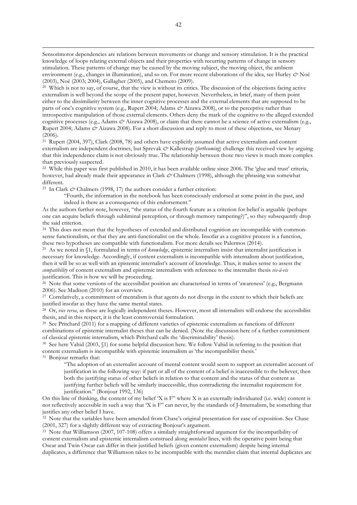Sensorimotor dependencies are relations between movements or change and sensory stimulation. It is the practical knowledge of loops relating external objects and their properties with recurring patterns of change in sensory stimulation. These patterns of change may be caused by the moving subject, the moving object, the ambient environment (e.g., changes in illumination), and so on. For more recent elaborations of the idea, see Hurley *&* Noë (2003), Noë (2003; 2004), Gallagher (2005), and Chemero (2009).

<sup>20</sup> Which is not to say, of course, that the view is without its critics. The discussion of the objections facing active externalism is well beyond the scope of the present paper, however. Nevertheless, in brief, many of them point either to the dissimilarity between the inner cognitive processes and the external elements that are supposed to be parts of one's cognitive system (e.g., Rupert 2004; Adams *&* Aizawa 2008), or to the perceptive rather than introspective manipulation of those external elements. Others deny the mark of the cognitive to the alleged extended cognitive processes (e.g., Adams  $\mathcal O$ <sup>x</sup> Aizawa 2008), or claim that there cannot be a science of active externalism (e.g., Rupert 2004; Adams *&* Aizawa 2008). For a short discussion and reply to most of these objections, see Menary (2006).

<sup>21</sup> Rupert (2004, 397), Clark (2008, 78) and others have explicitly assumed that active externalism and content externalism are independent doctrines, but Sprevak *&* Kallestrup (*forthcoming*) challenge this received view by arguing that this independence claim is not obviously true. The relationship between those two views is much more complex than previously suspected.

22 While this paper was first published in 2010, it has been available online since 2006. The 'glue and trust' criteria, however, had already made their appearance in Clark  $\mathcal{O}^*$  Chalmers (1998), although the phrasing was somewhat different.

<sup>23</sup> In Clark  $\mathcal O$  Chalmers (1998, 17) the authors consider a further criterion:

"Fourth, the information in the notebook has been consciously endorsed at some point in the past, and indeed is there as a consequence of this endorsement."

As the authors further note, however, "the status of the fourth feature as a criterion for belief is arguable (perhaps one can acquire beliefs through subliminal perception, or through memory tampering?)", so they subsequently drop the said criterion.

<sup>24</sup> This does not mean that the hypotheses of extended and distributed cognition are incompatible with commonsense functionalism, or that they are anti-functionalist on the whole. Insofar as a cognitive process is a function, these two hypotheses are compatible with functionalism. For more details see Palermos (2014).

25 As we noted in §1, formulated in terms of *knowledge*, epistemic internalists insist that internalist justification is necessary for knowledge. Accordingly, if content externalism is incompatible with internalism about justification, then it will be so as well with an epistemic internalist's account of knowledge. Thus, it makes sense to assess the *compatibility* of content externalism and epistemic internalism with reference to the internalist thesis *vis-à-vis* justification. This is how we will be proceeding.

26 Note that some versions of the accessibilist position are characterised in terms of 'awareness' (e.g., Bergmann 2006). See Madison (2010) for an overview.

27 Correlatively, a commitment of mentalism is that agents do not diverge in the extent to which their beliefs are justified insofar as they have the same mental states.

28 Or, *vice versa*, as these are logically independent theses. However, most all internalists will endorse the accessibilist thesis, and in this respect, it is the least controversial formulation.

29 See Pritchard (2011) for a mapping of different varieties of epistemic externalism as functions of different combinations of epistemic internalist theses that can be denied. (Note the discussion here of a further commitment of classical epistemic internalism, which Pritchard calls the 'discriminability' thesis).

30 See here Vahid (2003, §1) for some helpful discussion here. We follow Vahid in referring to the position that content externalism is incompatible with epistemic internalism as 'the incompatibilist thesis.' 31 Bonjour remarks that:

"The adoption of an externalist account of mental content would seem to support an externalist account of justification in the following way: if part or all of the content of a belief is inaccessible to the believer, then both the justifying status of other beliefs in relation to that content and the status of that content as justifying further beliefs will be similarly inaccessible, thus contradicting the internalist requirement for justification." (Bonjour 1992, 136)

On this line of thinking, the content of my belief 'X is F" where X is an externally individuated (i.e. wide) content is not reflectively accessible in such a way that 'X is F" can never, by the standards of J-Internalism, be something that justifies any other belief I have.

<sup>32</sup> Note that the variables have been amended from Chase's original presentation for ease of exposition. See Chase (2001, 327) for a slightly different way of extracting Bonjour's argument.

33 Note that Williamson (2007, 107-108) offers a similarly straightforward argument for the incompatibility of content externalism and epistemic internalism construed along *mentalist* lines, with the operative point being that Oscar and Twin Oscar can differ in their justified beliefs (given content externalism) despite being internal duplicates, a difference that Williamson takes to be incompatible with the mentalist claim that internal duplicates are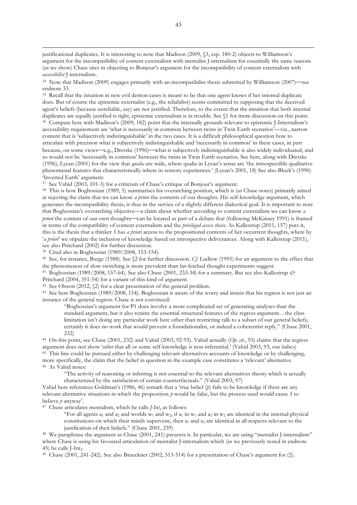justificational duplicates. It is interesting to note that Madison (2009, §3, esp. 180-2) objects to Williamson's argument for the incompatibility of content externalism with mentalist J-internalism for essentially the same reasons (as we show) Chase sites in objecting to Bonjour's argument for the incompatibility of content externalism with *accessibilist* J-internalism.

<sup>34</sup> Note that Madison (2009) engages primarily with an incompatibilist thesis submitted by Williamson (2007) see endnote 33.

35 Recall that the intuition in new evil demon cases is meant to be that one agent knows if her internal duplicate does. But of course the epistemic externalist (e.g., the reliabilist) seems committed to supposing that the deceived agent's beliefs (because unreliable, say) are not justified. Therefore, to the extent that the intuition that both internal duplicates are equally justified is right, epistemic externalism is in trouble. See §1 for more discussion on this point. 36 Compare here with Madison's (2009, 182) point that the internally grounds relevant to epistemic J-Internalism's accessibility requirement are 'what is necessarily in common between twins in Twin Earth scenarios'—viz., narrow content that is 'subjectively indistinguishable' in the two cases. It is a difficult philosophical question how to articulate with precision what is subjectively indistinguishable and 'necessarily in common' in these cases, in part because, on some views-e.g., Dretske (1996)—what is subjectively indistinguishable is also widely individuated, and so would not be 'necessarily in common' between the twins in Twin Earth scenarios. See here, along with Dretske (1996), Lycan (2001) for the view that *qualia* are wide, where qualia in Lycan's sense are 'the introspectible qualitative phenomenal features that characteristically inhere in sensory experiences.' (Lycan's 2001, 18) See also Block's (1990) 'Inverted Earth' argument.

37 See Vahid (2003, 101-3) for a criticism of Chase's critique of Bonjour's argument.

38 This is how Boghossian (1989, 5) summarises his overarching position, which is (as Chase notes) primarily aimed at rejecting the claim that we can know *a priori* the contents of our thoughts. His self-knowledge argument, which generates the incompatibility thesis, is thus in the service of a slightly different dialectical goal. It is important to note that Boghossian's overarching objective—a claim about whether according to content externalism we can know *a priori* the content of our own thoughts—can be located as part of a debate that (following McKinsey 1991) is framed in terms of the compatibility of content externalism and the *privileged access thesis*. As Kallestrup (2011, 157) puts it, this is the thesis that a thinker *S* has *a priori* access to the propositional contents of her occurrent thoughts, where by '*a priori*' we stipulate the inclusion of knowledge based on introspective deliverances. Along with Kallestrup (2011), see also Pritchard (2002) for further discussion.

39 Cited also in Boghossian (1989/2008, 153-154).

40 See, for instance, Burge (1988). See §2 for further discussion. *Cf*. Ludlow (1995) for an argument to the effect that the phenomenon of slow-switching is more prevalent than far-fetched thought experiments suggest.

41 Boghossian (1989/2008, 157-64). See also Chase (2001, 233-34) for a summary. But see also Kallestrup *&* Pritchard (2004, 351-54) for a variant of this kind of argument.

42 See Olsson (2012, §2) for a clear presentation of the general problem.

43 See here Boghossian (1989/2008, 154). Boghossian is aware of the worry and insists that his regress is not just an instance of the general regress. Chase is not convinced:

"Boghossian's argument for P1 does involve a more complicated set of generating analyses than the standard argument, but it also retains the essential structural features of the regress argument…the class limitation isn't doing any particular work here other than restricting talk to a subset of our general beliefs; certainly it does no work that would prevent a foundationalist, or indeed a coherentist reply." (Chase 2001, 232)

44 On this point, see Chase (2001, 232) and Vahid (2003, 92-93). Vahid actually (*Op. cit*., 93) claims that the regress argument does not show '*either* that all or some self-knowledge is non-inferential.' (Vahid 2003, 93, our italics) 45 This line could be pursued either by challenging relevant alternatives accounts of knowledge or by challenging, more specifically, the claim that the belief in question in the example case constitutes a 'relevant' alternative. 46 As Vahid notes:

"The activity of reasoning or inferring is not essential to the relevant alternatives theory which is actually characterized by the satisfaction of certain counterfactuals." (Vahid 2003, 97)

Vahid here references Goldman's (1986, 46) remark that a 'true belief (*p*) fails to be knowledge if there are any relevant alternative situations in which the proposition *p* would be false, but the process used would cause *S* to believe *p* anyway'.

47 Chase articulates mentalism, which he calls *J-Int<sup>2</sup>* as follows:

"For all agents a<sub>1</sub> and a<sub>2</sub> and worlds w<sub>1</sub> and w<sub>2</sub>, if a<sub>1</sub> in w<sub>1</sub> and a<sub>2</sub> in w<sub>2</sub> are identical in the internal physical constitutions on which their minds supervene, then  $a_1$  and  $a_2$  are identical in all respects relevant to the justification of their beliefs." (Chase 2001, 239)

<sup>48</sup> We paraphrase the argument as Chase (2001, 241) presents it. In particular, we are using "mentalist J-internalism" where Chase is using his favoured articulation of mentalist J-internalism which (as we previously noted in endnote 45) he calls I-Int<sub>2</sub>.

49 Chase (2001, 241-242). See also Brueckner (2002, 513-514) for a presentation of Chase's argument for (2).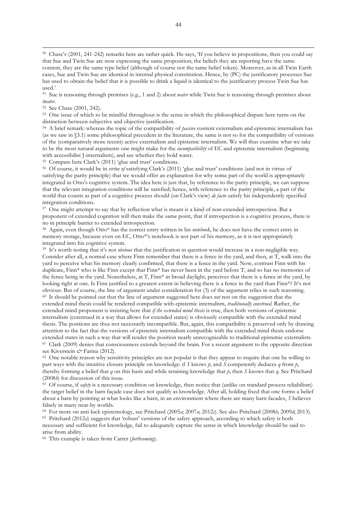50 Chase's (2001, 241-242) remarks here are rather quick. He says, 'If you believe in propositions, then you could say that Sue and Twin Sue are now expressing the same proposition; the beliefs they are reporting have the same content, they are the same type belief (although of course not the same belief token). Moreover, as in all Twin Earth cases, Sue and Twin Sue are identical in internal physical constitution. Hence, by (PC) the justificatory processes Sue has used to obtain the belief that it is possible to drink a liquid is identical to the justificatory process Twin Sue has used.'

51 Sue is reasoning through premises (e.g., 1 and 2) about *water* while Twin Sue is reasoning through premises about *twater.*

52 See Chase (2001, 242).

53 One issue of which to be mindful throughout is the sense in which the philosophical dispute here turns on the distinction between subjective and objective justification.

54 A brief remark: whereas the topic of the compatibility of *passive* content externalism and epistemic internalism has (as we saw in §3.1) some philosophical precedent in the literature, the same is not so for the compatibility of versions of the (comparatively more recent) active externalism and epistemic internalism. We will thus examine what we take to be the most natural arguments one might make for the *incompatibility* of EC and epistemic internalism (beginning with accessibilist J-internalism), and see whether they hold water.

55 Compare here Clark's (2011) 'glue and trust' conditions.

56 Of course, it would be in *virtue of* satisfying Clark's (2011) 'glue and trust' conditions (and not in virtue of satisfying the parity principle) that we would offer an explanation for why some part of the world is appropriately integrated in Otto's cognitive system. The idea here is just that, by reference to the parity principle, we can suppose that the relevant integration conditions will be satisfied; hence, with reference to the parity principle, a part of the world that counts as part of a cognitive process should (on Clark's view) *de facto* satisfy his independently specified integration conditions.

<sup>57</sup> One might attempt to say that by reflection what is meant is a kind of non-extended introspection. But a proponent of extended cognition will then make the same point, that if introspection is a cognitive process, there is no in principle barrier to extended introspection.

58 Again, even though Otto\* has the correct entry written in his *notebook*, he does not have the correct entry in memory storage, because even on EC, Otto\*'s notebook is not part of his memory, as it is not appropriately integrated into his cognitive system.

59 It's worth noting that it's not *obvious* that the justification in question would increase in a non-negligible way. Consider after all, a normal case where Finn remember that there is a fence in the yard, and then, at T, walk into the yard to perceive what his memory clearly confirmed, that there is a fence in the yard. Now, contrast Finn with his duplicate, Finn\* who is like Finn except that Finn\* has never been in the yard before T, and so has no memories of the fence being in the yard. Nonetheless, at T, Finn\* in broad daylight, perceives that there is a fence in the yard, by looking right at one. Is Finn justified to a greatest extent in believing there is a fence in the yard than Finn\*? It's not obvious. But of course, the line of argument under consideration for (3) of the argument relies in such reasoning. 60 It should be pointed out that the line of argument suggested here does *not* rest on the suggestion that the extended mind thesis could be rendered compatible with epistemic internalism, *traditionally construed.* Rather, the extended mind proponent is insisting here that *if the extended mind thesis* is true, then both versions of epistemic internalism (construed in a way that allows for extended states) is obviously compatible with the extended mind thesis. The positions are thus not necessarily incompatible. But, again, this compatibility is preserved only by drawing attention to the fact that the versions of epistemic internalism compatible with the extended mind thesis endorse extended states in such a way that will render the position nearly unrecognizable to traditional epistemic externalists. <sup>61</sup> Clark (2009) denies that consciousness extends beyond the brain. For a recent argument to the opposite direction see Kiverstein *&* Farina (2012).

<sup>62</sup> One notable reason why sensitivity principles are not popular is that they appear to require that one be willing to part ways with the intuitive closure principle on knowledge: if *S* knows  $p$ , and *S* competently deduces *q* from  $p$ , thereby forming a belief that *q* on this basis and while retaining knowledge that *p*, then *S* knows that *q*. See Pritchard (2008*b*) for discussion of this issue.

63 Of course, if *safety* is a necessary condition on knowledge, then notice that (unlike on standard process reliabilism) the target belief in the barn façade case does not qualify as knowledge. After all, holding fixed that one forms a belief about a barn by pointing at what looks like a barn, in an environment where there are many barn facades, *S* believes falsely in many near-by worlds.

64 For more on anti-luck epistemology, see Pritchard (2005*a*; 2007*a*; 2012*c*). See also Pritchard (2008*b*; 2009*d*; 2013).

65 Pritchard (2012*a*) suggests that 'robust' versions of the safety approach, according to which safety is both necessary and sufficient for knowledge, fail to adequately capture the sense in which knowledge should be said to arise from ability.

66 This example is taken from Carter (*forthcoming*).